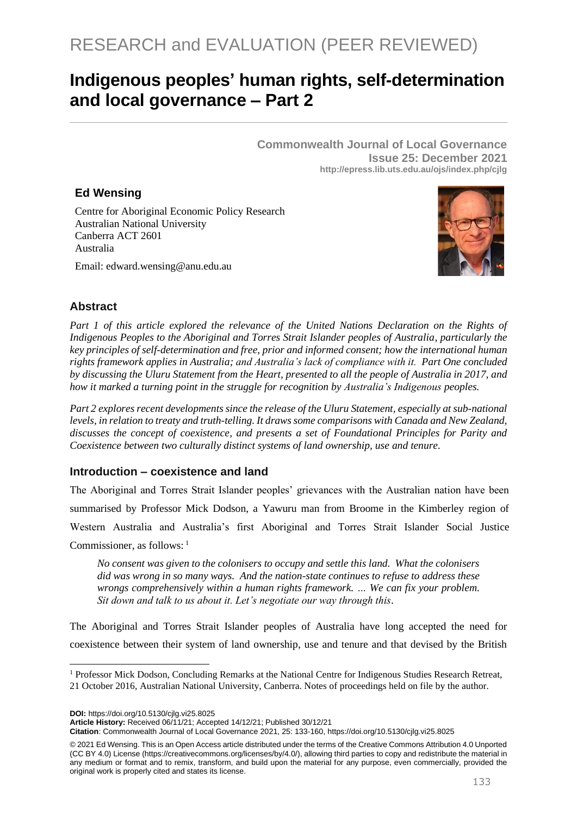# **Indigenous peoples' human rights, self-determination and local governance – Part 2**

**Commonwealth Journal of Local Governance Issue 25: December 2021 http://epress.lib.uts.edu.au/ojs/index.php/cjlg**

## **Ed Wensing**

Centre for Aboriginal Economic Policy Research Australian National University Canberra ACT 2601 Australia

Email: edward.wensing@anu.edu.au



#### **Abstract**

*Part 1 of this article explored the relevance of the United Nations Declaration on the Rights of Indigenous Peoples to the Aboriginal and Torres Strait Islander peoples of Australia, particularly the key principles of self-determination and free, prior and informed consent; how the international human rights framework applies in Australia; and Australia's lack of compliance with it. Part One concluded by discussing the Uluru Statement from the Heart, presented to all the people of Australia in 2017, and how it marked a turning point in the struggle for recognition by Australia's Indigenous peoples.* 

*Part 2 explores recent developments since the release of the Uluru Statement, especially at sub-national levels, in relation to treaty and truth-telling. It draws some comparisons with Canada and New Zealand, discusses the concept of coexistence, and presents a set of Foundational Principles for Parity and Coexistence between two culturally distinct systems of land ownership, use and tenure.* 

#### **Introduction – coexistence and land**

The Aboriginal and Torres Strait Islander peoples' grievances with the Australian nation have been summarised by Professor Mick Dodson, a Yawuru man from Broome in the Kimberley region of Western Australia and Australia's first Aboriginal and Torres Strait Islander Social Justice Commissioner, as follows: <sup>1</sup>

*No consent was given to the colonisers to occupy and settle this land. What the colonisers did was wrong in so many ways. And the nation-state continues to refuse to address these wrongs comprehensively within a human rights framework. … We can fix your problem. Sit down and talk to us about it. Let's negotiate our way through this*.

The Aboriginal and Torres Strait Islander peoples of Australia have long accepted the need for coexistence between their system of land ownership, use and tenure and that devised by the British

**DOI:** https://doi.org/10.5130/cjlg.vi25.8025

**Citation**: Commonwealth Journal of Local Governance 2021, 25: 133-160, https://doi.org/10.5130/cjlg.vi25.8025

© 2021 Ed Wensing. This is an Open Access article distributed under the terms of the Creative Commons Attribution 4.0 Unported (CC BY 4.0) License [\(https://creativecommons.org/licenses/by/4.0/\)](https://creativecommons.org/licenses/by/4.0/), allowing third parties to copy and redistribute the material in any medium or format and to remix, transform, and build upon the material for any purpose, even commercially, provided the original work is properly cited and states its license.

<sup>&</sup>lt;sup>1</sup> Professor Mick Dodson, Concluding Remarks at the National Centre for Indigenous Studies Research Retreat, 21 October 2016, Australian National University, Canberra. Notes of proceedings held on file by the author.

**Article History:** Received 06/11/21; Accepted 14/12/21; Published 30/12/21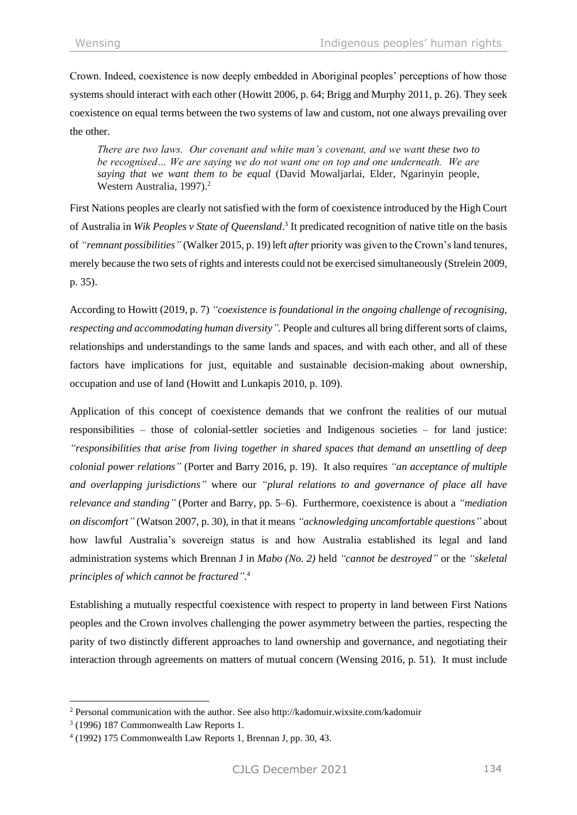Crown. Indeed, coexistence is now deeply embedded in Aboriginal peoples' perceptions of how those systems should interact with each other (Howitt 2006, p. 64; Brigg and Murphy 2011, p. 26). They seek coexistence on equal terms between the two systems of law and custom, not one always prevailing over the other.

*There are two laws. Our covenant and white man's covenant, and we want these two to be recognised… We are saying we do not want one on top and one underneath. We are saying that we want them to be equal* (David Mowaljarlai, Elder, Ngarinyin people, Western Australia, 1997).<sup>2</sup>

First Nations peoples are clearly not satisfied with the form of coexistence introduced by the High Court of Australia in *Wik Peoples v State of Queensland*. 3 It predicated recognition of native title on the basis of *"remnant possibilities"* (Walker 2015, p. 19) left *after* priority was given to the Crown's land tenures, merely because the two sets of rights and interests could not be exercised simultaneously (Strelein 2009, p. 35).

According to Howitt (2019, p. 7) *"coexistence is foundational in the ongoing challenge of recognising, respecting and accommodating human diversity".* People and cultures all bring different sorts of claims, relationships and understandings to the same lands and spaces, and with each other, and all of these factors have implications for just, equitable and sustainable decision-making about ownership, occupation and use of land (Howitt and Lunkapis 2010, p. 109).

Application of this concept of coexistence demands that we confront the realities of our mutual responsibilities – those of colonial-settler societies and Indigenous societies – for land justice: *"responsibilities that arise from living together in shared spaces that demand an unsettling of deep colonial power relations"* (Porter and Barry 2016, p. 19). It also requires *"an acceptance of multiple and overlapping jurisdictions"* where our *"plural relations to and governance of place all have relevance and standing"* (Porter and Barry, pp. 5–6). Furthermore, coexistence is about a *"mediation on discomfort"* (Watson 2007, p. 30), in that it means *"acknowledging uncomfortable questions"* about how lawful Australia's sovereign status is and how Australia established its legal and land administration systems which Brennan J in *Mabo (No. 2)* held *"cannot be destroyed"* or the *"skeletal principles of which cannot be fractured".* 4

Establishing a mutually respectful coexistence with respect to property in land between First Nations peoples and the Crown involves challenging the power asymmetry between the parties, respecting the parity of two distinctly different approaches to land ownership and governance, and negotiating their interaction through agreements on matters of mutual concern (Wensing 2016, p. 51). It must include

<sup>2</sup> Personal communication with the author. See als[o http://kadomuir.wixsite.com/kadomuir](http://kadomuir.wixsite.com/kadomuir)

<sup>3</sup> (1996) 187 Commonwealth Law Reports 1.

<sup>4</sup> (1992) 175 Commonwealth Law Reports 1, Brennan J, pp. 30, 43.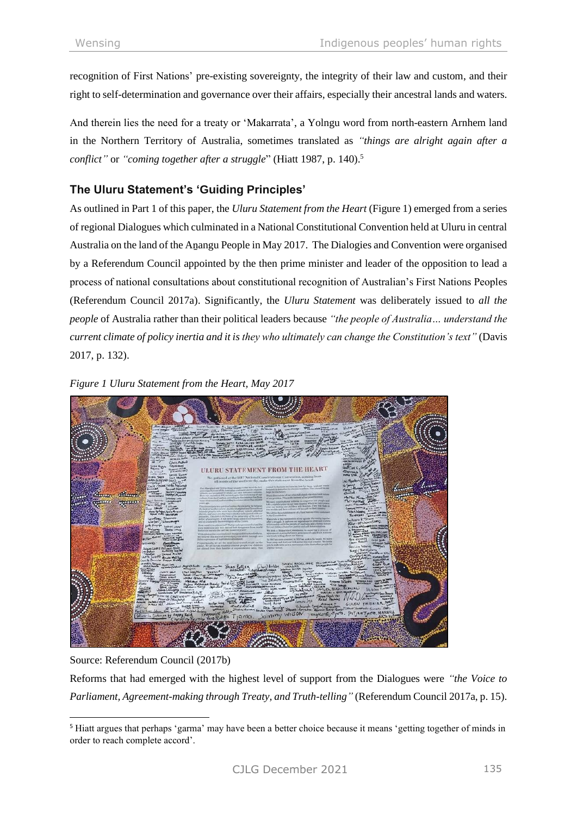recognition of First Nations' pre-existing sovereignty, the integrity of their law and custom, and their right to self-determination and governance over their affairs, especially their ancestral lands and waters.

And therein lies the need for a treaty or 'Makarrata', a Yolngu word from north-eastern Arnhem land in the Northern Territory of Australia, sometimes translated as *"things are alright again after a conflict"* or *"coming together after a struggle*" (Hiatt 1987, p. 140). 5

# **The Uluru Statement's 'Guiding Principles'**

As outlined in Part 1 of this paper, the *Uluru Statement from the Heart* (Figure 1) emerged from a series of regional Dialogues which culminated in a National Constitutional Convention held at Uluru in central Australia on the land of the Aṉangu People in May 2017. The Dialogies and Convention were organised by a Referendum Council appointed by the then prime minister and leader of the opposition to lead a process of national consultations about constitutional recognition of Australian's First Nations Peoples (Referendum Council 2017a). Significantly, the *Uluru Statement* was deliberately issued to *all the people* of Australia rather than their political leaders because *"the people of Australia… understand the current climate of policy inertia and it is they who ultimately can change the Constitution's text"* (Davis 2017, p. 132).



*Figure 1 Uluru Statement from the Heart, May 2017*

Source: Referendum Council (2017b)

Reforms that had emerged with the highest level of support from the Dialogues were *"the Voice to Parliament, Agreement-making through Treaty, and Truth-telling"* (Referendum Council 2017a, p. 15).

<sup>5</sup> Hiatt argues that perhaps 'garma' may have been a better choice because it means 'getting together of minds in order to reach complete accord'.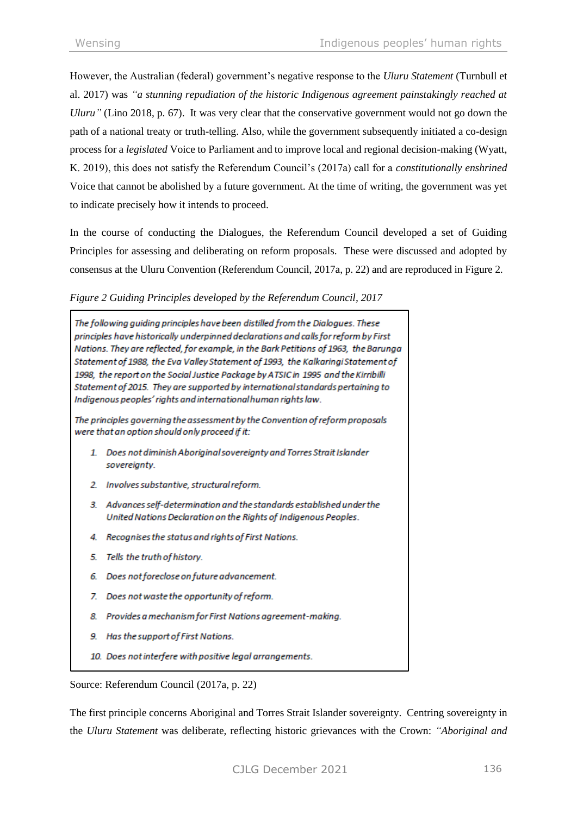However, the Australian (federal) government's negative response to the *Uluru Statement* (Turnbull et al. 2017) was *"a stunning repudiation of the historic Indigenous agreement painstakingly reached at Uluru"* (Lino 2018, p. 67). It was very clear that the conservative government would not go down the path of a national treaty or truth-telling. Also, while the government subsequently initiated a co-design process for a *legislated* Voice to Parliament and to improve local and regional decision-making (Wyatt, K. 2019), this does not satisfy the Referendum Council's (2017a) call for a *constitutionally enshrined* Voice that cannot be abolished by a future government. At the time of writing, the government was yet to indicate precisely how it intends to proceed.

In the course of conducting the Dialogues, the Referendum Council developed a set of Guiding Principles for assessing and deliberating on reform proposals. These were discussed and adopted by consensus at the Uluru Convention (Referendum Council, 2017a, p. 22) and are reproduced in Figure 2.

#### *Figure 2 Guiding Principles developed by the Referendum Council, 2017*

The following quiding principles have been distilled from the Dialogues. These principles have historically underpinned declarations and calls for reform by First Nations. They are reflected, for example, in the Bark Petitions of 1963, the Barunga Statement of 1988, the Eva Valley Statement of 1993, the Kalkaringi Statement of 1998, the report on the Social Justice Package by ATSIC in 1995 and the Kirribilli Statement of 2015. They are supported by international standards pertaining to Indigenous peoples' rights and international human rights law.

The principles governing the assessment by the Convention of reform proposals were that an option should only proceed if it:

- 1. Does not diminish Aboriginal sovereignty and Torres Strait Islander sovereignty.
- 2. Involves substantive, structural reform.
- 3. Advances self-determination and the standards established under the United Nations Declaration on the Rights of Indigenous Peoples.
- 4. Recognises the status and rights of First Nations.
- 5. Tells the truth of history.
- 6. Does not foreclose on future advancement.
- 7. Does not waste the opportunity of reform.
- 8. Provides a mechanism for First Nations agreement-making.
- 9. Has the support of First Nations.
- 10. Does not interfere with positive legal arrangements.

Source: Referendum Council (2017a, p. 22)

The first principle concerns Aboriginal and Torres Strait Islander sovereignty. Centring sovereignty in the *Uluru Statement* was deliberate, reflecting historic grievances with the Crown: *"Aboriginal and*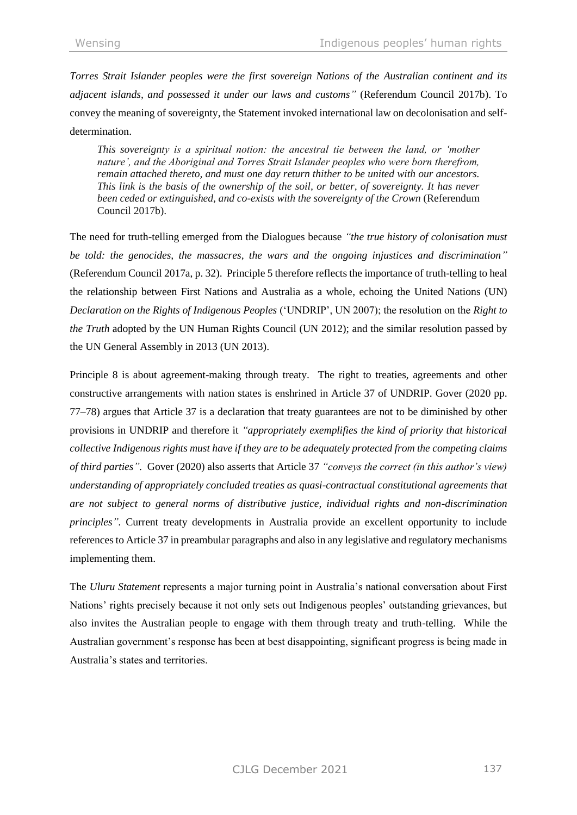*Torres Strait Islander peoples were the first sovereign Nations of the Australian continent and its adjacent islands, and possessed it under our laws and customs"* (Referendum Council 2017b). To convey the meaning of sovereignty, the Statement invoked international law on decolonisation and selfdetermination.

*This sovereignty is a spiritual notion: the ancestral tie between the land, or 'mother nature', and the Aboriginal and Torres Strait Islander peoples who were born therefrom, remain attached thereto, and must one day return thither to be united with our ancestors. This link is the basis of the ownership of the soil, or better, of sovereignty. It has never been ceded or extinguished, and co-exists with the sovereignty of the Crown* (Referendum Council 2017b).

The need for truth-telling emerged from the Dialogues because *"the true history of colonisation must be told: the genocides, the massacres, the wars and the ongoing injustices and discrimination"* (Referendum Council 2017a, p. 32). Principle 5 therefore reflects the importance of truth-telling to heal the relationship between First Nations and Australia as a whole, echoing the United Nations (UN) *Declaration on the Rights of Indigenous Peoples* ('UNDRIP', UN 2007); the resolution on the *Right to the Truth* adopted by the UN Human Rights Council (UN 2012); and the similar resolution passed by the UN General Assembly in 2013 (UN 2013).

Principle 8 is about agreement-making through treaty. The right to treaties, agreements and other constructive arrangements with nation states is enshrined in Article 37 of UNDRIP. Gover (2020 pp. 77–78) argues that Article 37 is a declaration that treaty guarantees are not to be diminished by other provisions in UNDRIP and therefore it *"appropriately exemplifies the kind of priority that historical collective Indigenous rights must have if they are to be adequately protected from the competing claims of third parties".* Gover (2020) also asserts that Article 37 *"conveys the correct (in this author's view) understanding of appropriately concluded treaties as quasi-contractual constitutional agreements that are not subject to general norms of distributive justice, individual rights and non-discrimination principles".* Current treaty developments in Australia provide an excellent opportunity to include references to Article 37 in preambular paragraphs and also in any legislative and regulatory mechanisms implementing them.

The *Uluru Statement* represents a major turning point in Australia's national conversation about First Nations' rights precisely because it not only sets out Indigenous peoples' outstanding grievances, but also invites the Australian people to engage with them through treaty and truth-telling. While the Australian government's response has been at best disappointing, significant progress is being made in Australia's states and territories.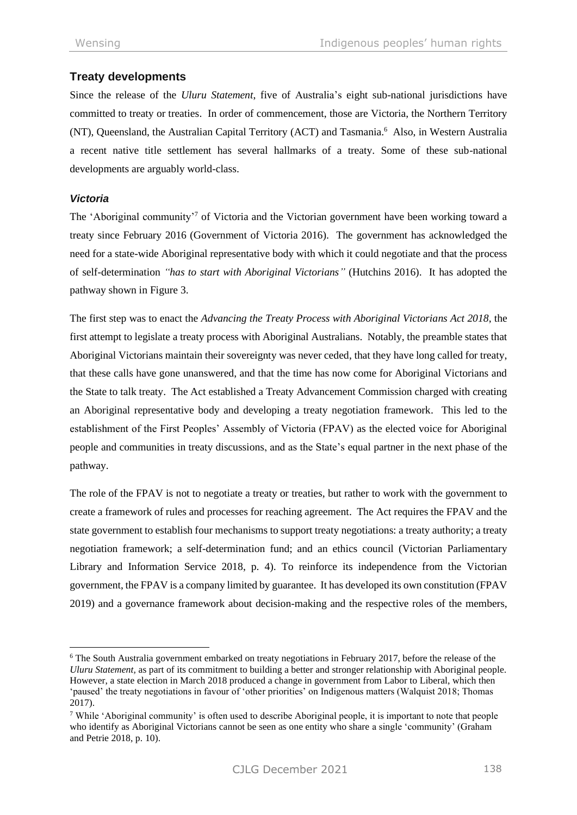# **Treaty developments**

Since the release of the *Uluru Statement*, five of Australia's eight sub-national jurisdictions have committed to treaty or treaties. In order of commencement, those are Victoria, the Northern Territory (NT), Queensland, the Australian Capital Territory (ACT) and Tasmania. 6 Also, in Western Australia a recent native title settlement has several hallmarks of a treaty. Some of these sub-national developments are arguably world-class.

## *Victoria*

The 'Aboriginal community'<sup>7</sup> of Victoria and the Victorian government have been working toward a treaty since February 2016 (Government of Victoria 2016). The government has acknowledged the need for a state-wide Aboriginal representative body with which it could negotiate and that the process of self-determination *"has to start with Aboriginal Victorians"* (Hutchins 2016). It has adopted the pathway shown in Figure 3.

The first step was to enact the *Advancing the Treaty Process with Aboriginal Victorians Act 2018*, the first attempt to legislate a treaty process with Aboriginal Australians. Notably, the preamble states that Aboriginal Victorians maintain their sovereignty was never ceded, that they have long called for treaty, that these calls have gone unanswered, and that the time has now come for Aboriginal Victorians and the State to talk treaty. The Act established a Treaty Advancement Commission charged with creating an Aboriginal representative body and developing a treaty negotiation framework. This led to the establishment of the First Peoples' Assembly of Victoria (FPAV) as the elected voice for Aboriginal people and communities in treaty discussions, and as the State's equal partner in the next phase of the pathway.

The role of the FPAV is not to negotiate a treaty or treaties, but rather to work with the government to create a framework of rules and processes for reaching agreement. The Act requires the FPAV and the state government to establish four mechanisms to support treaty negotiations: a treaty authority; a treaty negotiation framework; a self-determination fund; and an ethics council (Victorian Parliamentary Library and Information Service 2018, p. 4). To reinforce its independence from the Victorian government, the FPAV is a company limited by guarantee. It has developed its own constitution (FPAV 2019) and a governance framework about decision-making and the respective roles of the members,

<sup>6</sup> The South Australia government embarked on treaty negotiations in February 2017, before the release of the *Uluru Statement,* as part of its commitment to building a better and stronger relationship with Aboriginal people. However, a state election in March 2018 produced a change in government from Labor to Liberal, which then 'paused' the treaty negotiations in favour of 'other priorities' on Indigenous matters (Walquist 2018; Thomas 2017).

<sup>7</sup> While 'Aboriginal community' is often used to describe Aboriginal people, it is important to note that people who identify as Aboriginal Victorians cannot be seen as one entity who share a single 'community' (Graham and Petrie 2018, p. 10).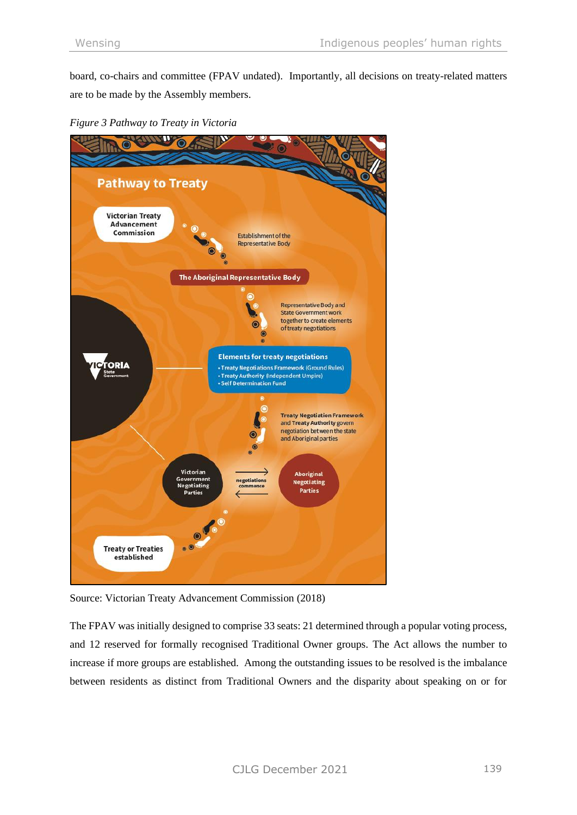board, co-chairs and committee (FPAV undated). Importantly, all decisions on treaty-related matters are to be made by the Assembly members.





Source: Victorian Treaty Advancement Commission (2018)

The FPAV was initially designed to comprise 33 seats: 21 determined through a popular voting process, and 12 reserved for formally recognised Traditional Owner groups. The Act allows the number to increase if more groups are established. Among the outstanding issues to be resolved is the imbalance between residents as distinct from Traditional Owners and the disparity about speaking on or for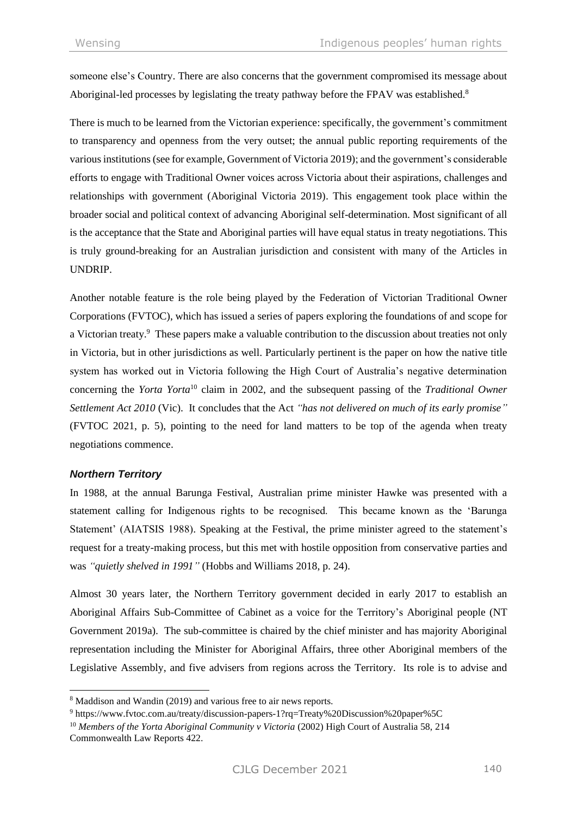someone else's Country. There are also concerns that the government compromised its message about Aboriginal-led processes by legislating the treaty pathway before the FPAV was established.<sup>8</sup>

There is much to be learned from the Victorian experience: specifically, the government's commitment to transparency and openness from the very outset; the annual public reporting requirements of the various institutions (see for example, Government of Victoria 2019); and the government's considerable efforts to engage with Traditional Owner voices across Victoria about their aspirations, challenges and relationships with government (Aboriginal Victoria 2019). This engagement took place within the broader social and political context of advancing Aboriginal self-determination. Most significant of all is the acceptance that the State and Aboriginal parties will have equal status in treaty negotiations. This is truly ground-breaking for an Australian jurisdiction and consistent with many of the Articles in UNDRIP.

Another notable feature is the role being played by the Federation of Victorian Traditional Owner Corporations (FVTOC), which has issued a series of papers exploring the foundations of and scope for a Victorian treaty.<sup>9</sup> These papers make a valuable contribution to the discussion about treaties not only in Victoria, but in other jurisdictions as well. Particularly pertinent is the paper on how the native title system has worked out in Victoria following the High Court of Australia's negative determination concerning the *Yorta Yorta*<sup>10</sup> claim in 2002, and the subsequent passing of the *Traditional Owner Settlement Act 2010* (Vic). It concludes that the Act *"has not delivered on much of its early promise"* (FVTOC 2021, p. 5), pointing to the need for land matters to be top of the agenda when treaty negotiations commence.

#### *Northern Territory*

In 1988, at the annual Barunga Festival, Australian prime minister Hawke was presented with a statement calling for Indigenous rights to be recognised. This became known as the 'Barunga Statement' (AIATSIS 1988). Speaking at the Festival, the prime minister agreed to the statement's request for a treaty-making process, but this met with hostile opposition from conservative parties and was *"quietly shelved in 1991"* (Hobbs and Williams 2018, p. 24).

Almost 30 years later, the Northern Territory government decided in early 2017 to establish an Aboriginal Affairs Sub-Committee of Cabinet as a voice for the Territory's Aboriginal people (NT Government 2019a). The sub-committee is chaired by the chief minister and has majority Aboriginal representation including the Minister for Aboriginal Affairs, three other Aboriginal members of the Legislative Assembly, and five advisers from regions across the Territory. Its role is to advise and

<sup>&</sup>lt;sup>8</sup> Maddison and Wandin (2019) and various free to air news reports.

<sup>9</sup> <https://www.fvtoc.com.au/treaty/discussion-papers-1?rq=Treaty%20Discussion%20paper%5C>

<sup>&</sup>lt;sup>10</sup> Members of the Yorta Aboriginal Community v Victoria (2002) High Court of Australia 58, 214 Commonwealth Law Reports 422.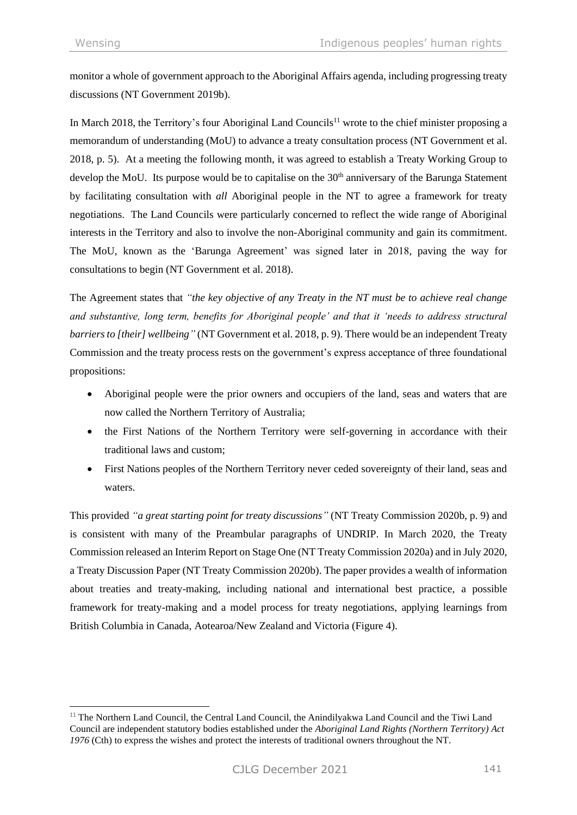monitor a whole of government approach to the Aboriginal Affairs agenda, including progressing treaty discussions (NT Government 2019b).

In March 2018, the Territory's four Aboriginal Land Councils<sup>11</sup> wrote to the chief minister proposing a memorandum of understanding (MoU) to advance a treaty consultation process (NT Government et al. 2018, p. 5). At a meeting the following month, it was agreed to establish a Treaty Working Group to develop the MoU. Its purpose would be to capitalise on the 30<sup>th</sup> anniversary of the Barunga Statement by facilitating consultation with *all* Aboriginal people in the NT to agree a framework for treaty negotiations. The Land Councils were particularly concerned to reflect the wide range of Aboriginal interests in the Territory and also to involve the non-Aboriginal community and gain its commitment. The MoU, known as the 'Barunga Agreement' was signed later in 2018, paving the way for consultations to begin (NT Government et al. 2018).

The Agreement states that *"the key objective of any Treaty in the NT must be to achieve real change and substantive, long term, benefits for Aboriginal people' and that it 'needs to address structural barriers to [their] wellbeing"* (NT Government et al. 2018, p. 9). There would be an independent Treaty Commission and the treaty process rests on the government's express acceptance of three foundational propositions:

- Aboriginal people were the prior owners and occupiers of the land, seas and waters that are now called the Northern Territory of Australia;
- the First Nations of the Northern Territory were self-governing in accordance with their traditional laws and custom;
- First Nations peoples of the Northern Territory never ceded sovereignty of their land, seas and waters.

This provided *"a great starting point for treaty discussions"* (NT Treaty Commission 2020b, p. 9) and is consistent with many of the Preambular paragraphs of UNDRIP. In March 2020, the Treaty Commission released an Interim Report on Stage One (NT Treaty Commission 2020a) and in July 2020, a Treaty Discussion Paper (NT Treaty Commission 2020b). The paper provides a wealth of information about treaties and treaty-making, including national and international best practice, a possible framework for treaty-making and a model process for treaty negotiations, applying learnings from British Columbia in Canada, Aotearoa/New Zealand and Victoria (Figure 4).

<sup>&</sup>lt;sup>11</sup> The Northern Land Council, the Central Land Council, the Anindilyakwa Land Council and the Tiwi Land Council are independent statutory bodies established under the *Aboriginal Land Rights (Northern Territory) Act 1976* (Cth) to express the wishes and protect the interests of traditional owners throughout the NT.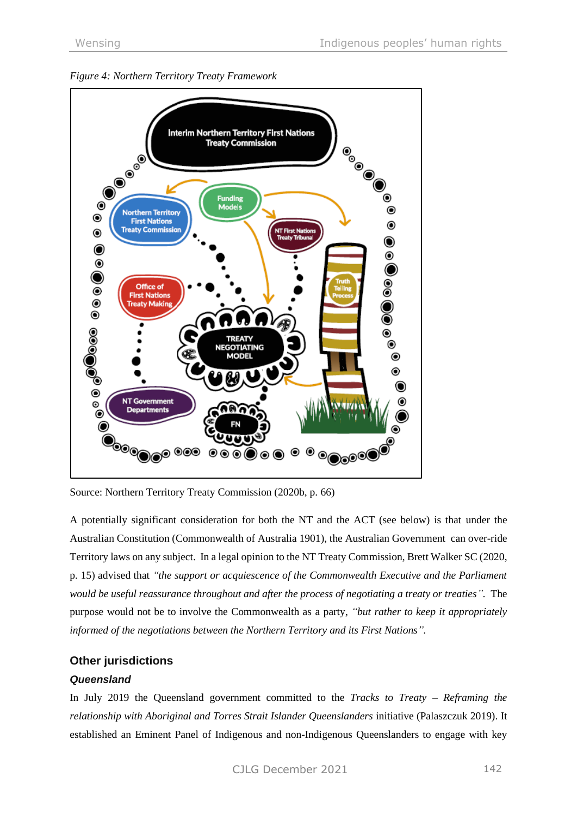



Source: Northern Territory Treaty Commission (2020b, p. 66)

A potentially significant consideration for both the NT and the ACT (see below) is that under the Australian Constitution (Commonwealth of Australia 1901), the Australian Government can over-ride Territory laws on any subject. In a legal opinion to the NT Treaty Commission, Brett Walker SC (2020, p. 15) advised that *"the support or acquiescence of the Commonwealth Executive and the Parliament would be useful reassurance throughout and after the process of negotiating a treaty or treaties".* The purpose would not be to involve the Commonwealth as a party, *"but rather to keep it appropriately informed of the negotiations between the Northern Territory and its First Nations".*

# **Other jurisdictions**

## *Queensland*

In July 2019 the Queensland government committed to the *Tracks to Treaty* – *Reframing the relationship with Aboriginal and Torres Strait Islander Queenslanders* initiative (Palaszczuk 2019). It established an Eminent Panel of Indigenous and non-Indigenous Queenslanders to engage with key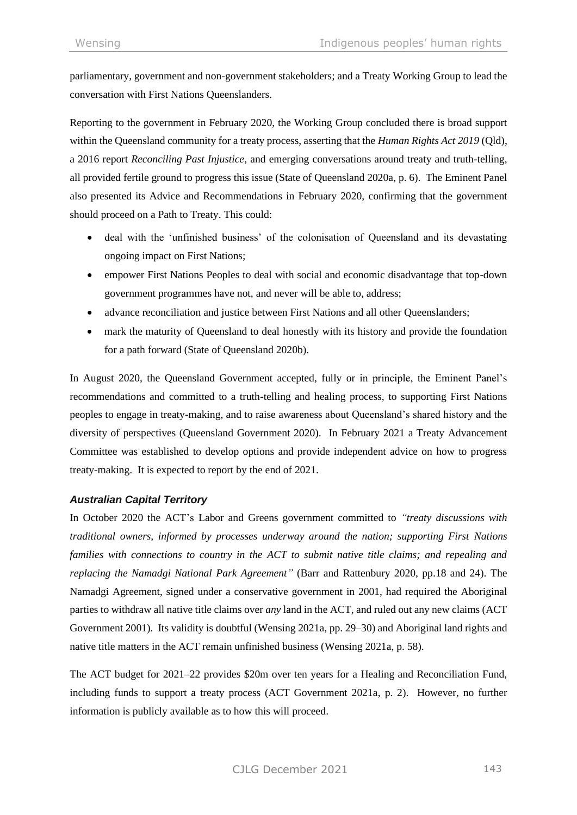parliamentary, government and non-government stakeholders; and a Treaty Working Group to lead the conversation with First Nations Queenslanders.

Reporting to the government in February 2020, the Working Group concluded there is broad support within the Queensland community for a treaty process, asserting that the *Human Rights Act 2019* (Qld), a 2016 report *Reconciling Past Injustice*, and emerging conversations around treaty and truth-telling, all provided fertile ground to progress this issue (State of Queensland 2020a, p. 6). The Eminent Panel also presented its Advice and Recommendations in February 2020, confirming that the government should proceed on a Path to Treaty. This could:

- deal with the 'unfinished business' of the colonisation of Queensland and its devastating ongoing impact on First Nations;
- empower First Nations Peoples to deal with social and economic disadvantage that top-down government programmes have not, and never will be able to, address;
- advance reconciliation and justice between First Nations and all other Queenslanders;
- mark the maturity of Queensland to deal honestly with its history and provide the foundation for a path forward (State of Queensland 2020b).

In August 2020, the Queensland Government accepted, fully or in principle, the Eminent Panel's recommendations and committed to a truth-telling and healing process, to supporting First Nations peoples to engage in treaty-making, and to raise awareness about Queensland's shared history and the diversity of perspectives (Queensland Government 2020). In February 2021 a Treaty Advancement Committee was established to develop options and provide independent advice on how to progress treaty-making. It is expected to report by the end of 2021.

## *Australian Capital Territory*

In October 2020 the ACT's Labor and Greens government committed to *"treaty discussions with traditional owners, informed by processes underway around the nation; supporting First Nations families with connections to country in the ACT to submit native title claims; and repealing and replacing the Namadgi National Park Agreement"* (Barr and Rattenbury 2020, pp.18 and 24). The Namadgi Agreement, signed under a conservative government in 2001, had required the Aboriginal parties to withdraw all native title claims over *any* land in the ACT, and ruled out any new claims (ACT Government 2001). Its validity is doubtful (Wensing 2021a, pp. 29–30) and Aboriginal land rights and native title matters in the ACT remain unfinished business (Wensing 2021a, p. 58).

The ACT budget for 2021–22 provides \$20m over ten years for a Healing and Reconciliation Fund, including funds to support a treaty process (ACT Government 2021a, p. 2). However, no further information is publicly available as to how this will proceed.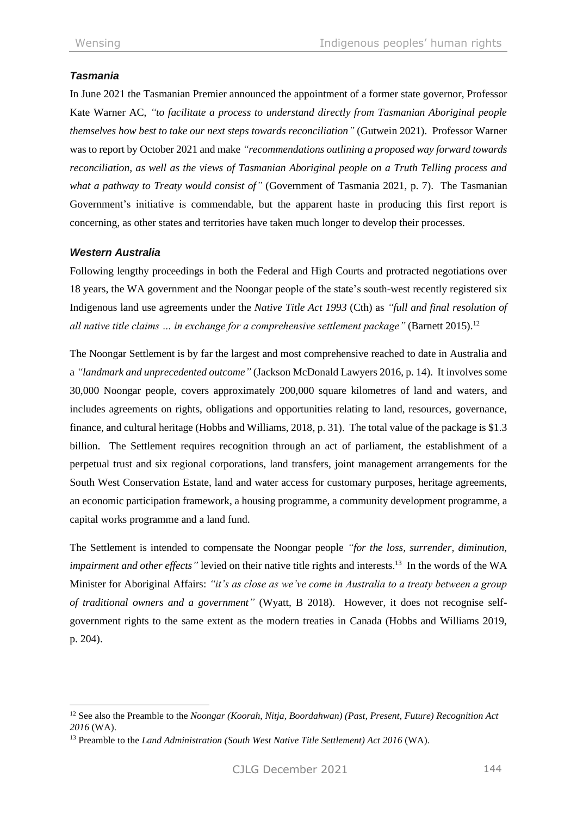## *Tasmania*

In June 2021 the Tasmanian Premier announced the appointment of a former state governor, Professor Kate Warner AC, *"to facilitate a process to understand directly from Tasmanian Aboriginal people themselves how best to take our next steps towards reconciliation"* (Gutwein 2021). Professor Warner was to report by October 2021 and make *"recommendations outlining a proposed way forward towards reconciliation, as well as the views of Tasmanian Aboriginal people on a Truth Telling process and what a pathway to Treaty would consist of"* (Government of Tasmania 2021, p. 7). The Tasmanian Government's initiative is commendable, but the apparent haste in producing this first report is concerning, as other states and territories have taken much longer to develop their processes.

#### *Western Australia*

Following lengthy proceedings in both the Federal and High Courts and protracted negotiations over 18 years, the WA government and the Noongar people of the state's south-west recently registered six Indigenous land use agreements under the *Native Title Act 1993* (Cth) as *"full and final resolution of all native title claims … in exchange for a comprehensive settlement package"* (Barnett 2015).<sup>12</sup>

The Noongar Settlement is by far the largest and most comprehensive reached to date in Australia and a *"landmark and unprecedented outcome"* (Jackson McDonald Lawyers 2016, p. 14). It involves some 30,000 Noongar people, covers approximately 200,000 square kilometres of land and waters, and includes agreements on rights, obligations and opportunities relating to land, resources, governance, finance, and cultural heritage (Hobbs and Williams, 2018, p. 31). The total value of the package is \$1.3 billion. The Settlement requires recognition through an act of parliament, the establishment of a perpetual trust and six regional corporations, land transfers, joint management arrangements for the South West Conservation Estate, land and water access for customary purposes, heritage agreements, an economic participation framework, a housing programme, a community development programme, a capital works programme and a land fund.

The Settlement is intended to compensate the Noongar people *"for the loss, surrender, diminution, impairment and other effects*" levied on their native title rights and interests.<sup>13</sup> In the words of the WA Minister for Aboriginal Affairs: *"it's as close as we've come in Australia to a treaty between a group of traditional owners and a government"* (Wyatt, B 2018). However, it does not recognise selfgovernment rights to the same extent as the modern treaties in Canada (Hobbs and Williams 2019, p. 204).

<sup>12</sup> See also the Preamble to the *Noongar (Koorah, Nitja, Boordahwan) (Past, Present, Future) Recognition Act 2016* (WA).

<sup>13</sup> Preamble to the *Land Administration (South West Native Title Settlement) Act 2016* (WA).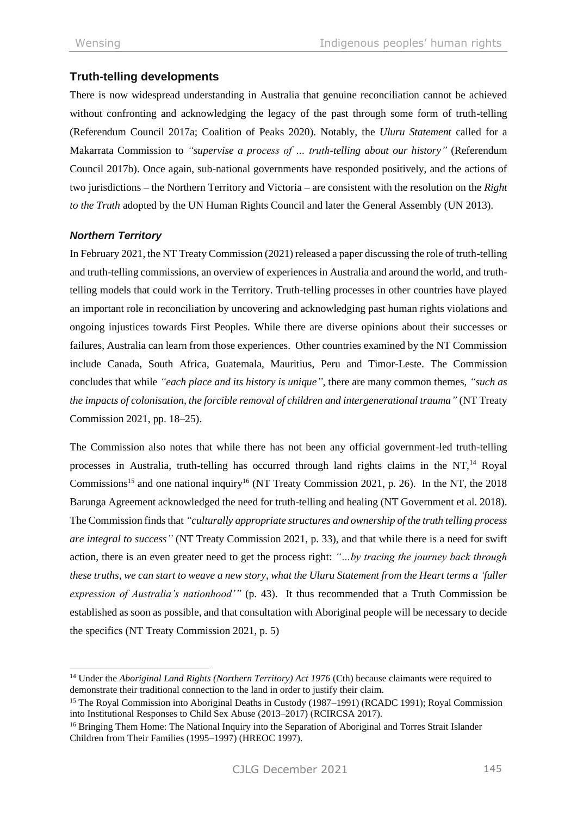# **Truth-telling developments**

There is now widespread understanding in Australia that genuine reconciliation cannot be achieved without confronting and acknowledging the legacy of the past through some form of truth-telling (Referendum Council 2017a; Coalition of Peaks 2020). Notably, the *Uluru Statement* called for a Makarrata Commission to *"supervise a process of … truth-telling about our history"* (Referendum Council 2017b). Once again, sub-national governments have responded positively, and the actions of two jurisdictions – the Northern Territory and Victoria – are consistent with the resolution on the *Right to the Truth* adopted by the UN Human Rights Council and later the General Assembly (UN 2013).

#### *Northern Territory*

In February 2021, the NT Treaty Commission (2021) released a paper discussing the role of truth-telling and truth-telling commissions, an overview of experiences in Australia and around the world, and truthtelling models that could work in the Territory. Truth-telling processes in other countries have played an important role in reconciliation by uncovering and acknowledging past human rights violations and ongoing injustices towards First Peoples. While there are diverse opinions about their successes or failures, Australia can learn from those experiences. Other countries examined by the NT Commission include Canada, South Africa, Guatemala, Mauritius, Peru and Timor-Leste. The Commission concludes that while *"each place and its history is unique",* there are many common themes, *"such as the impacts of colonisation, the forcible removal of children and intergenerational trauma"* (NT Treaty Commission 2021, pp. 18–25).

The Commission also notes that while there has not been any official government-led truth-telling processes in Australia, truth-telling has occurred through land rights claims in the NT.<sup>14</sup> Royal Commissions<sup>15</sup> and one national inquiry<sup>16</sup> (NT Treaty Commission 2021, p. 26). In the NT, the 2018 Barunga Agreement acknowledged the need for truth-telling and healing (NT Government et al. 2018). The Commission finds that *"culturally appropriate structures and ownership of the truth telling process are integral to success"* (NT Treaty Commission 2021, p. 33), and that while there is a need for swift action, there is an even greater need to get the process right: *"…by tracing the journey back through these truths, we can start to weave a new story, what the Uluru Statement from the Heart terms a 'fuller expression of Australia's nationhood'"* (p. 43). It thus recommended that a Truth Commission be established as soon as possible, and that consultation with Aboriginal people will be necessary to decide the specifics (NT Treaty Commission 2021, p. 5)

<sup>&</sup>lt;sup>14</sup> Under the *Aboriginal Land Rights (Northern Territory) Act 1976* (Cth) because claimants were required to demonstrate their traditional connection to the land in order to justify their claim.

<sup>&</sup>lt;sup>15</sup> The Royal Commission into Aboriginal Deaths in Custody (1987–1991) (RCADC 1991); Royal Commission into Institutional Responses to Child Sex Abuse (2013–2017) (RCIRCSA 2017).

<sup>&</sup>lt;sup>16</sup> Bringing Them Home: The National Inquiry into the Separation of Aboriginal and Torres Strait Islander Children from Their Families (1995–1997) (HREOC 1997).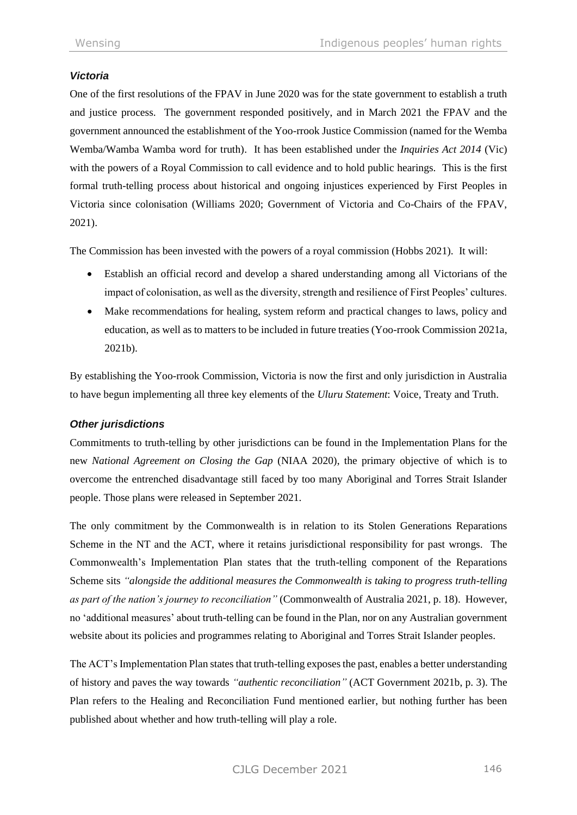## *Victoria*

One of the first resolutions of the FPAV in June 2020 was for the state government to establish a truth and justice process. The government responded positively, and in March 2021 the FPAV and the government announced the establishment of the Yoo-rrook Justice Commission (named for the Wemba Wemba/Wamba Wamba word for truth). It has been established under the *Inquiries Act 2014* (Vic) with the powers of a Royal Commission to call evidence and to hold public hearings. This is the first formal truth-telling process about historical and ongoing injustices experienced by First Peoples in Victoria since colonisation (Williams 2020; Government of Victoria and Co-Chairs of the FPAV, 2021).

The Commission has been invested with the powers of a royal commission (Hobbs 2021). It will:

- Establish an official record and develop a shared understanding among all Victorians of the impact of colonisation, as well as the diversity, strength and resilience of First Peoples' cultures.
- Make recommendations for healing, system reform and practical changes to laws, policy and education, as well as to matters to be included in future treaties (Yoo-rrook Commission 2021a, 2021b).

By establishing the Yoo-rrook Commission, Victoria is now the first and only jurisdiction in Australia to have begun implementing all three key elements of the *Uluru Statement*: Voice, Treaty and Truth.

#### *Other jurisdictions*

Commitments to truth-telling by other jurisdictions can be found in the Implementation Plans for the new *National Agreement on Closing the Gap* (NIAA 2020), the primary objective of which is to overcome the entrenched disadvantage still faced by too many Aboriginal and Torres Strait Islander people. Those plans were released in September 2021.

The only commitment by the Commonwealth is in relation to its Stolen Generations Reparations Scheme in the NT and the ACT, where it retains jurisdictional responsibility for past wrongs. The Commonwealth's Implementation Plan states that the truth-telling component of the Reparations Scheme sits *"alongside the additional measures the Commonwealth is taking to progress truth-telling as part of the nation's journey to reconciliation"* (Commonwealth of Australia 2021, p. 18). However, no 'additional measures' about truth-telling can be found in the Plan, nor on any Australian government website about its policies and programmes relating to Aboriginal and Torres Strait Islander peoples.

The ACT's Implementation Plan states that truth-telling exposes the past, enables a better understanding of history and paves the way towards *"authentic reconciliation"* (ACT Government 2021b, p. 3). The Plan refers to the Healing and Reconciliation Fund mentioned earlier, but nothing further has been published about whether and how truth-telling will play a role.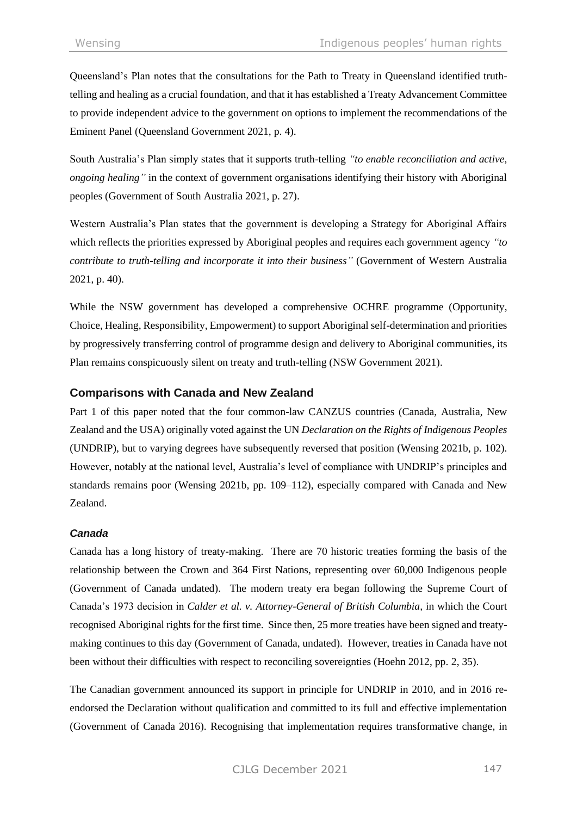Queensland's Plan notes that the consultations for the Path to Treaty in Queensland identified truthtelling and healing as a crucial foundation, and that it has established a Treaty Advancement Committee to provide independent advice to the government on options to implement the recommendations of the Eminent Panel (Queensland Government 2021, p. 4).

South Australia's Plan simply states that it supports truth-telling *"to enable reconciliation and active, ongoing healing"* in the context of government organisations identifying their history with Aboriginal peoples (Government of South Australia 2021, p. 27).

Western Australia's Plan states that the government is developing a Strategy for Aboriginal Affairs which reflects the priorities expressed by Aboriginal peoples and requires each government agency *"to contribute to truth-telling and incorporate it into their business"* (Government of Western Australia 2021, p. 40).

While the NSW government has developed a comprehensive OCHRE programme (Opportunity, Choice, Healing, Responsibility, Empowerment) to support Aboriginal self-determination and priorities by progressively transferring control of programme design and delivery to Aboriginal communities, its Plan remains conspicuously silent on treaty and truth-telling (NSW Government 2021).

## **Comparisons with Canada and New Zealand**

Part 1 of this paper noted that the four common-law CANZUS countries (Canada, Australia, New Zealand and the USA) originally voted against the UN *Declaration on the Rights of Indigenous Peoples* (UNDRIP), but to varying degrees have subsequently reversed that position (Wensing 2021b, p. 102). However, notably at the national level, Australia's level of compliance with UNDRIP's principles and standards remains poor (Wensing 2021b, pp. 109–112), especially compared with Canada and New Zealand.

## *Canada*

Canada has a long history of treaty-making. There are 70 historic treaties forming the basis of the relationship between the Crown and 364 First Nations, representing over 60,000 Indigenous people (Government of Canada undated). The modern treaty era began following the Supreme Court of Canada's 1973 decision in *Calder et al. v. Attorney-General of British Columbia,* in which the Court recognised Aboriginal rights for the first time. Since then, 25 more treaties have been signed and treatymaking continues to this day (Government of Canada, undated). However, treaties in Canada have not been without their difficulties with respect to reconciling sovereignties (Hoehn 2012, pp. 2, 35).

The Canadian government announced its support in principle for UNDRIP in 2010, and in 2016 reendorsed the Declaration without qualification and committed to its full and effective implementation (Government of Canada 2016). Recognising that implementation requires transformative change, in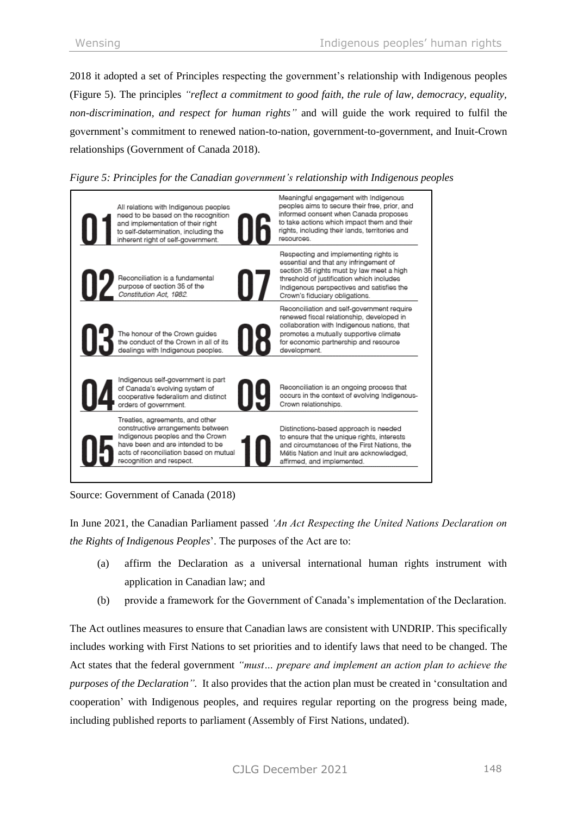2018 it adopted a set of Principles respecting the government's relationship with Indigenous peoples (Figure 5). The principles *"reflect a commitment to good faith, the rule of law, democracy, equality, non-discrimination, and respect for human rights"* and will guide the work required to fulfil the government's commitment to renewed nation-to-nation, government-to-government, and Inuit-Crown relationships (Government of Canada 2018).





Source: Government of Canada (2018)

In June 2021, the Canadian Parliament passed *'An Act Respecting the United Nations Declaration on the Rights of Indigenous Peoples*'. The purposes of the Act are to:

- (a) affirm the Declaration as a universal international human rights instrument with application in Canadian law; and
- (b) provide a framework for the Government of Canada's implementation of the Declaration.

The Act outlines measures to ensure that Canadian laws are consistent with UNDRIP. This specifically includes working with First Nations to set priorities and to identify laws that need to be changed. The Act states that the federal government *"must… prepare and implement an action plan to achieve the purposes of the Declaration".* It also provides that the action plan must be created in 'consultation and cooperation' with Indigenous peoples, and requires regular reporting on the progress being made, including published reports to parliament (Assembly of First Nations, undated).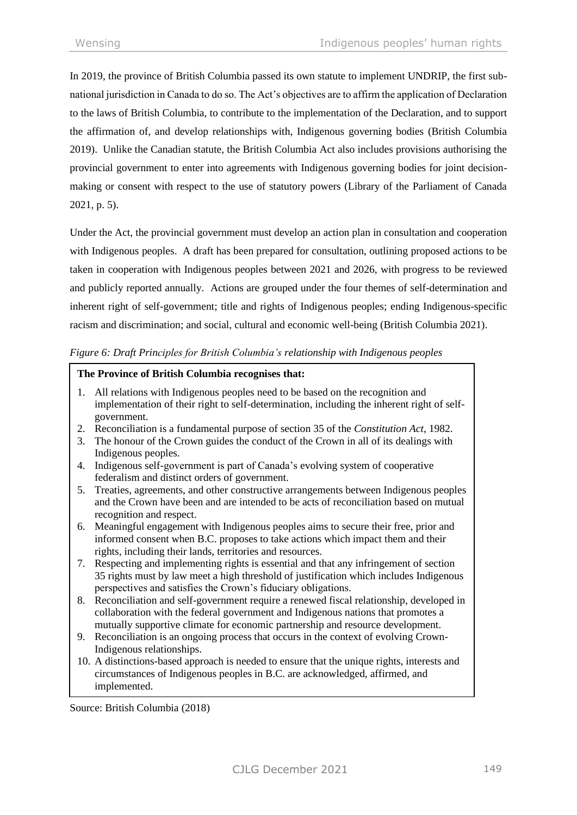In 2019, the province of British Columbia passed its own statute to implement UNDRIP, the first subnational jurisdiction in Canada to do so. The Act's objectives are to affirm the application of Declaration to the laws of British Columbia, to contribute to the implementation of the Declaration, and to support the affirmation of, and develop relationships with, Indigenous governing bodies (British Columbia 2019). Unlike the Canadian statute, the British Columbia Act also includes provisions authorising the provincial government to enter into agreements with Indigenous governing bodies for joint decisionmaking or consent with respect to the use of statutory powers (Library of the Parliament of Canada 2021, p. 5).

Under the Act, the provincial government must develop an action plan in consultation and cooperation with Indigenous peoples. A draft has been prepared for consultation, outlining proposed actions to be taken in cooperation with Indigenous peoples between 2021 and 2026, with progress to be reviewed and publicly reported annually. Actions are grouped under the four themes of self-determination and inherent right of self-government; title and rights of Indigenous peoples; ending Indigenous-specific racism and discrimination; and social, cultural and economic well-being (British Columbia 2021).

#### *Figure 6: Draft Principles for British Columbia's relationship with Indigenous peoples*

#### **The Province of British Columbia recognises that:**

- 1. All relations with Indigenous peoples need to be based on the recognition and implementation of their right to self-determination, including the inherent right of selfgovernment.
- 2. Reconciliation is a fundamental purpose of section 35 of the *Constitution Act*, 1982.
- 3. The honour of the Crown guides the conduct of the Crown in all of its dealings with Indigenous peoples.
- 4. Indigenous self-government is part of Canada's evolving system of cooperative federalism and distinct orders of government.
- 5. Treaties, agreements, and other constructive arrangements between Indigenous peoples and the Crown have been and are intended to be acts of reconciliation based on mutual recognition and respect.
- 6. Meaningful engagement with Indigenous peoples aims to secure their free, prior and informed consent when B.C. proposes to take actions which impact them and their rights, including their lands, territories and resources.
- 7. Respecting and implementing rights is essential and that any infringement of section 35 rights must by law meet a high threshold of justification which includes Indigenous perspectives and satisfies the Crown's fiduciary obligations.
- 8. Reconciliation and self-government require a renewed fiscal relationship, developed in collaboration with the federal government and Indigenous nations that promotes a mutually supportive climate for economic partnership and resource development.
- 9. Reconciliation is an ongoing process that occurs in the context of evolving Crown-Indigenous relationships.
- 10. A distinctions-based approach is needed to ensure that the unique rights, interests and circumstances of Indigenous peoples in B.C. are acknowledged, affirmed, and implemented.

Source: British Columbia (2018)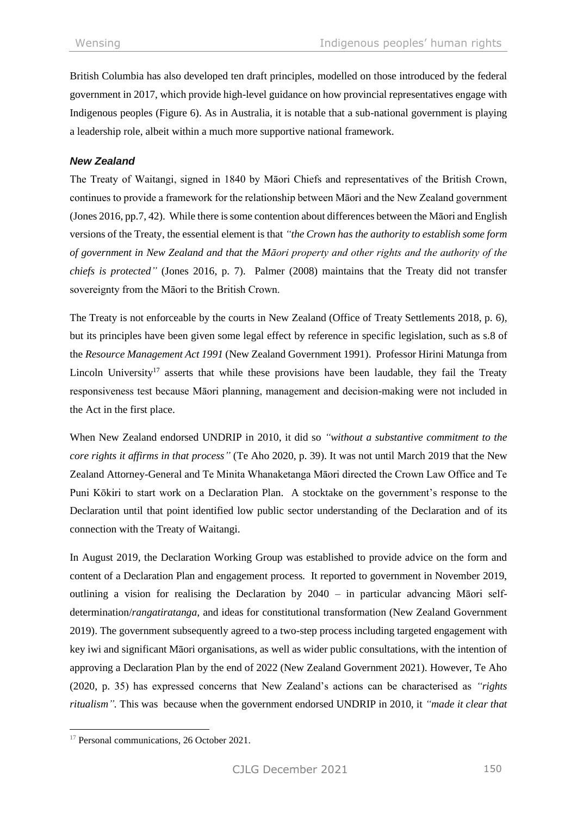British Columbia has also developed ten draft principles, modelled on those introduced by the federal government in 2017, which provide high-level guidance on how provincial representatives engage with Indigenous peoples (Figure 6). As in Australia, it is notable that a sub-national government is playing a leadership role, albeit within a much more supportive national framework.

#### *New Zealand*

The Treaty of Waitangi, signed in 1840 by Māori Chiefs and representatives of the British Crown, continues to provide a framework for the relationship between Māori and the New Zealand government (Jones 2016, pp.7, 42). While there is some contention about differences between the Māori and English versions of the Treaty, the essential element is that *"the Crown has the authority to establish some form of government in New Zealand and that the Māori property and other rights and the authority of the chiefs is protected"* (Jones 2016, p. 7). Palmer (2008) maintains that the Treaty did not transfer sovereignty from the Māori to the British Crown.

The Treaty is not enforceable by the courts in New Zealand (Office of Treaty Settlements 2018, p. 6), but its principles have been given some legal effect by reference in specific legislation, such as s.8 of the *Resource Management Act 1991* (New Zealand Government 1991). Professor Hirini Matunga from Lincoln University<sup>17</sup> asserts that while these provisions have been laudable, they fail the Treaty responsiveness test because Māori planning, management and decision-making were not included in the Act in the first place.

When New Zealand endorsed UNDRIP in 2010, it did so *"without a substantive commitment to the core rights it affirms in that process"* (Te Aho 2020, p. 39). It was not until March 2019 that the New Zealand Attorney-General and Te Minita Whanaketanga Māori directed the Crown Law Office and Te Puni Kōkiri to start work on a Declaration Plan. A stocktake on the government's response to the Declaration until that point identified low public sector understanding of the Declaration and of its connection with the Treaty of Waitangi.

In August 2019, the Declaration Working Group was established to provide advice on the form and content of a Declaration Plan and engagement process. It reported to government in November 2019, outlining a vision for realising the Declaration by 2040 – in particular advancing Māori selfdetermination/*rangatiratanga,* and ideas for constitutional transformation (New Zealand Government 2019). The government subsequently agreed to a two-step process including targeted engagement with key iwi and significant Māori organisations, as well as wider public consultations, with the intention of approving a Declaration Plan by the end of 2022 (New Zealand Government 2021). However, Te Aho (2020, p. 35) has expressed concerns that New Zealand's actions can be characterised as *"rights ritualism".* This was because when the government endorsed UNDRIP in 2010, it *"made it clear that* 

<sup>&</sup>lt;sup>17</sup> Personal communications, 26 October 2021.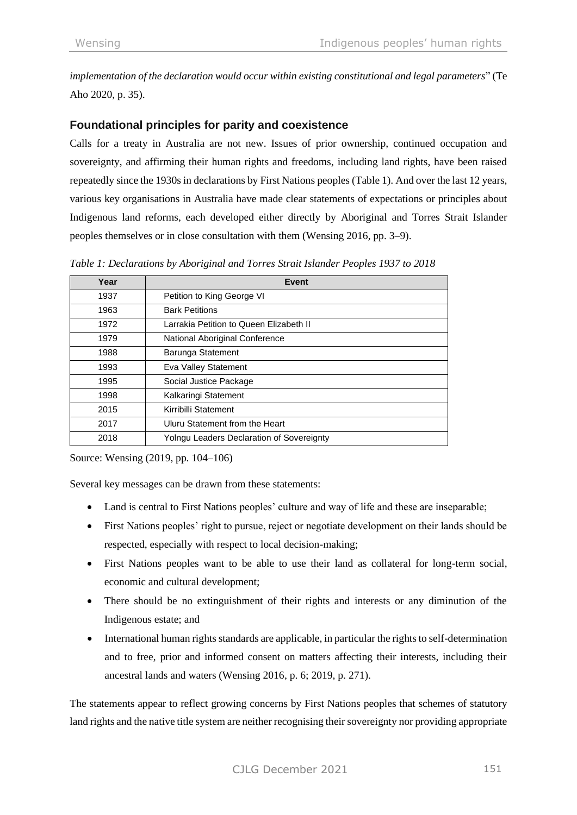*implementation of the declaration would occur within existing constitutional and legal parameters*" (Te Aho 2020, p. 35).

# **Foundational principles for parity and coexistence**

Calls for a treaty in Australia are not new. Issues of prior ownership, continued occupation and sovereignty, and affirming their human rights and freedoms, including land rights, have been raised repeatedly since the 1930s in declarations by First Nations peoples (Table 1). And over the last 12 years, various key organisations in Australia have made clear statements of expectations or principles about Indigenous land reforms, each developed either directly by Aboriginal and Torres Strait Islander peoples themselves or in close consultation with them (Wensing 2016, pp. 3–9).

| Year | Event                                     |
|------|-------------------------------------------|
| 1937 | Petition to King George VI                |
| 1963 | <b>Bark Petitions</b>                     |
| 1972 | Larrakia Petition to Queen Elizabeth II   |
| 1979 | National Aboriginal Conference            |
| 1988 | Barunga Statement                         |
| 1993 | Eva Valley Statement                      |
| 1995 | Social Justice Package                    |
| 1998 | Kalkaringi Statement                      |
| 2015 | Kirribilli Statement                      |
| 2017 | Uluru Statement from the Heart            |
| 2018 | Yolngu Leaders Declaration of Sovereignty |

*Table 1: Declarations by Aboriginal and Torres Strait Islander Peoples 1937 to 2018*

Source: Wensing (2019, pp. 104–106)

Several key messages can be drawn from these statements:

- Land is central to First Nations peoples' culture and way of life and these are inseparable;
- First Nations peoples' right to pursue, reject or negotiate development on their lands should be respected, especially with respect to local decision-making;
- First Nations peoples want to be able to use their land as collateral for long-term social, economic and cultural development;
- There should be no extinguishment of their rights and interests or any diminution of the Indigenous estate; and
- International human rights standards are applicable, in particular the rights to self-determination and to free, prior and informed consent on matters affecting their interests, including their ancestral lands and waters (Wensing 2016, p. 6; 2019, p. 271).

The statements appear to reflect growing concerns by First Nations peoples that schemes of statutory land rights and the native title system are neither recognising their sovereignty nor providing appropriate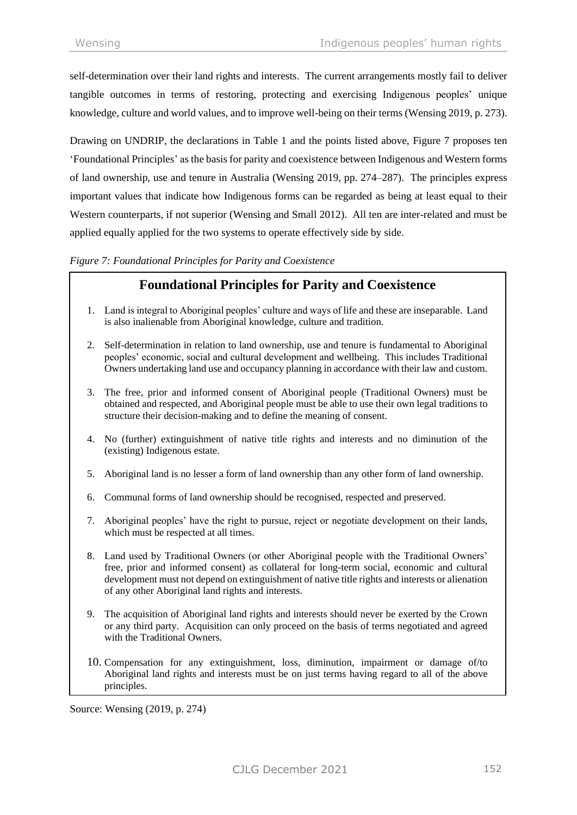self-determination over their land rights and interests. The current arrangements mostly fail to deliver tangible outcomes in terms of restoring, protecting and exercising Indigenous peoples' unique knowledge, culture and world values, and to improve well-being on their terms (Wensing 2019, p. 273).

Drawing on UNDRIP, the declarations in Table 1 and the points listed above, Figure 7 proposes ten 'Foundational Principles' as the basis for parity and coexistence between Indigenous and Western forms of land ownership, use and tenure in Australia (Wensing 2019, pp. 274–287). The principles express important values that indicate how Indigenous forms can be regarded as being at least equal to their Western counterparts, if not superior (Wensing and Small 2012). All ten are inter-related and must be applied equally applied for the two systems to operate effectively side by side.

#### *Figure 7: Foundational Principles for Parity and Coexistence*

# **Foundational Principles for Parity and Coexistence**

- 1. Land is integral to Aboriginal peoples' culture and ways of life and these are inseparable. Land is also inalienable from Aboriginal knowledge, culture and tradition.
- 2. Self-determination in relation to land ownership, use and tenure is fundamental to Aboriginal peoples' economic, social and cultural development and wellbeing. This includes Traditional Owners undertaking land use and occupancy planning in accordance with their law and custom.
- 3. The free, prior and informed consent of Aboriginal people (Traditional Owners) must be obtained and respected, and Aboriginal people must be able to use their own legal traditions to structure their decision-making and to define the meaning of consent.
- 4. No (further) extinguishment of native title rights and interests and no diminution of the (existing) Indigenous estate.
- 5. Aboriginal land is no lesser a form of land ownership than any other form of land ownership.
- 6. Communal forms of land ownership should be recognised, respected and preserved.
- 7. Aboriginal peoples' have the right to pursue, reject or negotiate development on their lands, which must be respected at all times.
- 8. Land used by Traditional Owners (or other Aboriginal people with the Traditional Owners' free, prior and informed consent) as collateral for long-term social, economic and cultural development must not depend on extinguishment of native title rights and interests or alienation of any other Aboriginal land rights and interests.
- 9. The acquisition of Aboriginal land rights and interests should never be exerted by the Crown or any third party. Acquisition can only proceed on the basis of terms negotiated and agreed with the Traditional Owners.
- 10. Compensation for any extinguishment, loss, diminution, impairment or damage of/to Aboriginal land rights and interests must be on just terms having regard to all of the above principles.

Source: Wensing (2019, p. 274)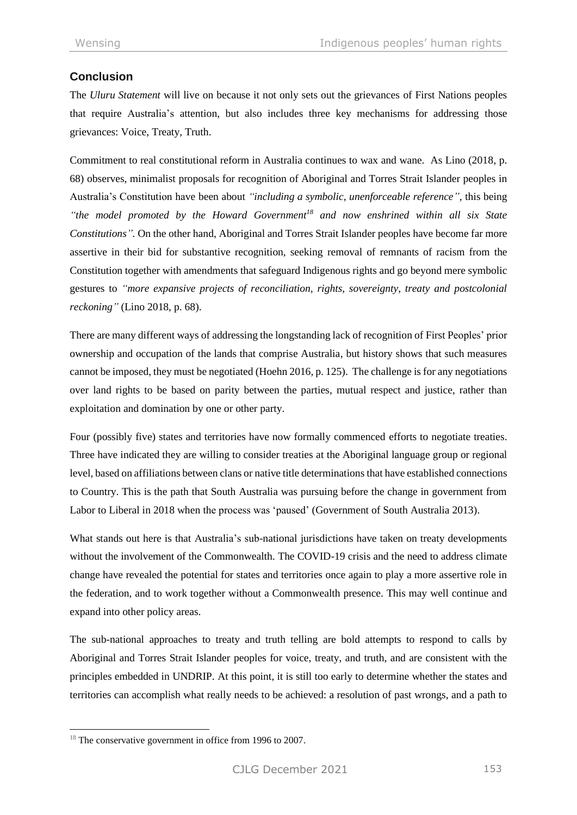# **Conclusion**

The *Uluru Statement* will live on because it not only sets out the grievances of First Nations peoples that require Australia's attention, but also includes three key mechanisms for addressing those grievances: Voice, Treaty, Truth.

Commitment to real constitutional reform in Australia continues to wax and wane. As Lino (2018, p. 68) observes, minimalist proposals for recognition of Aboriginal and Torres Strait Islander peoples in Australia's Constitution have been about *"including a symbolic, unenforceable reference",* this being *"the model promoted by the Howard Government<sup>18</sup> and now enshrined within all six State Constitutions".* On the other hand, Aboriginal and Torres Strait Islander peoples have become far more assertive in their bid for substantive recognition, seeking removal of remnants of racism from the Constitution together with amendments that safeguard Indigenous rights and go beyond mere symbolic gestures to *"more expansive projects of reconciliation, rights, sovereignty, treaty and postcolonial reckoning"* (Lino 2018, p. 68).

There are many different ways of addressing the longstanding lack of recognition of First Peoples' prior ownership and occupation of the lands that comprise Australia, but history shows that such measures cannot be imposed, they must be negotiated (Hoehn 2016, p. 125). The challenge is for any negotiations over land rights to be based on parity between the parties, mutual respect and justice, rather than exploitation and domination by one or other party.

Four (possibly five) states and territories have now formally commenced efforts to negotiate treaties. Three have indicated they are willing to consider treaties at the Aboriginal language group or regional level, based on affiliations between clans or native title determinations that have established connections to Country. This is the path that South Australia was pursuing before the change in government from Labor to Liberal in 2018 when the process was 'paused' (Government of South Australia 2013).

What stands out here is that Australia's sub-national jurisdictions have taken on treaty developments without the involvement of the Commonwealth. The COVID-19 crisis and the need to address climate change have revealed the potential for states and territories once again to play a more assertive role in the federation, and to work together without a Commonwealth presence. This may well continue and expand into other policy areas.

The sub-national approaches to treaty and truth telling are bold attempts to respond to calls by Aboriginal and Torres Strait Islander peoples for voice, treaty, and truth, and are consistent with the principles embedded in UNDRIP. At this point, it is still too early to determine whether the states and territories can accomplish what really needs to be achieved: a resolution of past wrongs, and a path to

<sup>&</sup>lt;sup>18</sup> The conservative government in office from 1996 to 2007.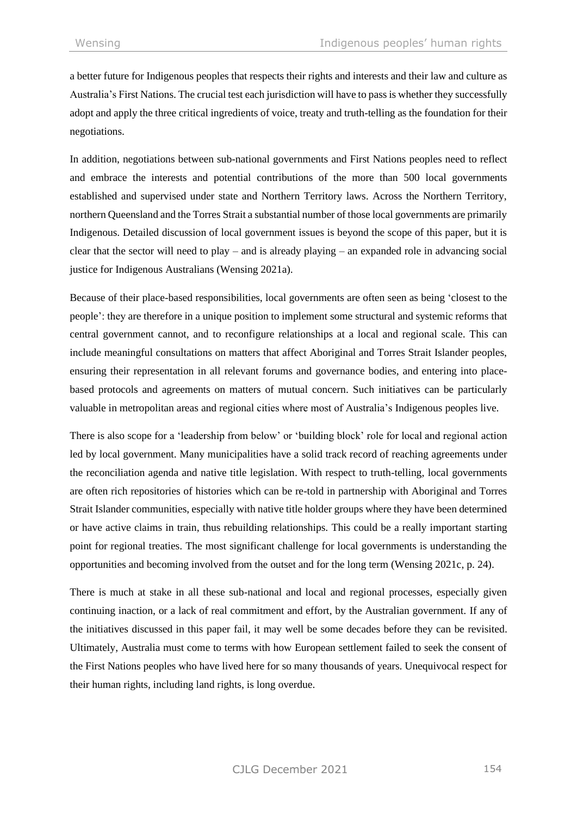a better future for Indigenous peoples that respects their rights and interests and their law and culture as Australia's First Nations. The crucial test each jurisdiction will have to pass is whether they successfully adopt and apply the three critical ingredients of voice, treaty and truth-telling as the foundation for their negotiations.

In addition, negotiations between sub-national governments and First Nations peoples need to reflect and embrace the interests and potential contributions of the more than 500 local governments established and supervised under state and Northern Territory laws. Across the Northern Territory, northern Queensland and the Torres Strait a substantial number of those local governments are primarily Indigenous. Detailed discussion of local government issues is beyond the scope of this paper, but it is clear that the sector will need to play – and is already playing – an expanded role in advancing social justice for Indigenous Australians (Wensing 2021a).

Because of their place-based responsibilities, local governments are often seen as being 'closest to the people': they are therefore in a unique position to implement some structural and systemic reforms that central government cannot, and to reconfigure relationships at a local and regional scale. This can include meaningful consultations on matters that affect Aboriginal and Torres Strait Islander peoples, ensuring their representation in all relevant forums and governance bodies, and entering into placebased protocols and agreements on matters of mutual concern. Such initiatives can be particularly valuable in metropolitan areas and regional cities where most of Australia's Indigenous peoples live.

There is also scope for a 'leadership from below' or 'building block' role for local and regional action led by local government. Many municipalities have a solid track record of reaching agreements under the reconciliation agenda and native title legislation. With respect to truth-telling, local governments are often rich repositories of histories which can be re-told in partnership with Aboriginal and Torres Strait Islander communities, especially with native title holder groups where they have been determined or have active claims in train, thus rebuilding relationships. This could be a really important starting point for regional treaties. The most significant challenge for local governments is understanding the opportunities and becoming involved from the outset and for the long term (Wensing 2021c, p. 24).

There is much at stake in all these sub-national and local and regional processes, especially given continuing inaction, or a lack of real commitment and effort, by the Australian government. If any of the initiatives discussed in this paper fail, it may well be some decades before they can be revisited. Ultimately, Australia must come to terms with how European settlement failed to seek the consent of the First Nations peoples who have lived here for so many thousands of years. Unequivocal respect for their human rights, including land rights, is long overdue.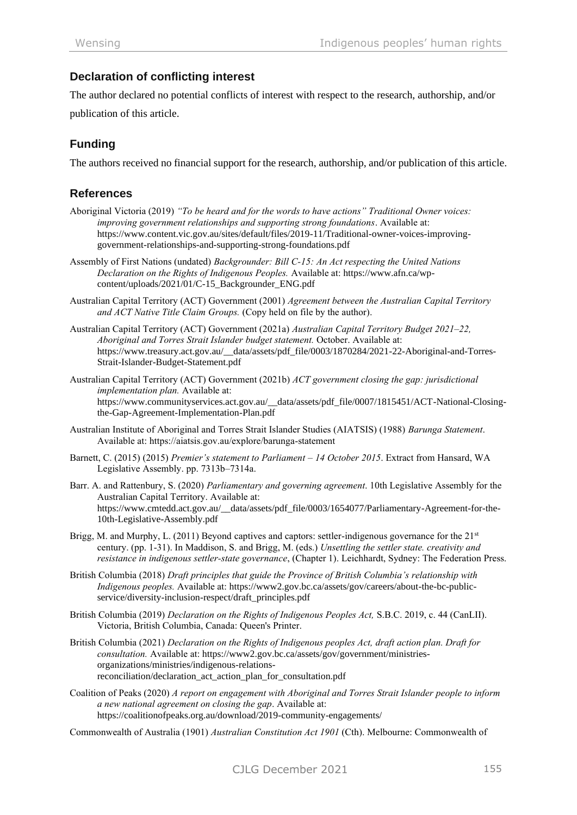# **Declaration of conflicting interest**

The author declared no potential conflicts of interest with respect to the research, authorship, and/or publication of this article.

# **Funding**

The authors received no financial support for the research, authorship, and/or publication of this article.

# **References**

- Aboriginal Victoria (2019) *"To be heard and for the words to have actions" Traditional Owner voices: improving government relationships and supporting strong foundations*. Available at: [https://www.content.vic.gov.au/sites/default/files/2019-11/Traditional-owner-voices-improving](https://www.content.vic.gov.au/sites/default/files/2019-11/Traditional-owner-voices-improving-government-relationships-and-supporting-strong-foundations.pdf)[government-relationships-and-supporting-strong-foundations.pdf](https://www.content.vic.gov.au/sites/default/files/2019-11/Traditional-owner-voices-improving-government-relationships-and-supporting-strong-foundations.pdf)
- Assembly of First Nations (undated) *Backgrounder: Bill C-15: An Act respecting the United Nations Declaration on the Rights of Indigenous Peoples.* Available at: [https://www.afn.ca/wp](https://www.afn.ca/wp-content/uploads/2021/01/C-15_Backgrounder_ENG.pdf)[content/uploads/2021/01/C-15\\_Backgrounder\\_ENG.pdf](https://www.afn.ca/wp-content/uploads/2021/01/C-15_Backgrounder_ENG.pdf)
- Australian Capital Territory (ACT) Government (2001) *Agreement between the Australian Capital Territory and ACT Native Title Claim Groups.* (Copy held on file by the author).
- Australian Capital Territory (ACT) Government (2021a) *Australian Capital Territory Budget 2021–22, Aboriginal and Torres Strait Islander budget statement.* October. Available at: [https://www.treasury.act.gov.au/\\_\\_data/assets/pdf\\_file/0003/1870284/2021-22-Aboriginal-and-Torres-](https://www.treasury.act.gov.au/__data/assets/pdf_file/0003/1870284/2021-22-Aboriginal-and-Torres-Strait-Islander-Budget-Statement.pdf)[Strait-Islander-Budget-Statement.pdf](https://www.treasury.act.gov.au/__data/assets/pdf_file/0003/1870284/2021-22-Aboriginal-and-Torres-Strait-Islander-Budget-Statement.pdf)
- Australian Capital Territory (ACT) Government (2021b) *ACT government closing the gap: jurisdictional implementation plan.* Available at: [https://www.communityservices.act.gov.au/\\_\\_data/assets/pdf\\_file/0007/1815451/ACT-National-Closing](https://www.communityservices.act.gov.au/__data/assets/pdf_file/0007/1815451/ACT-National-Closing-the-Gap-Agreement-Implementation-Plan.pdf)[the-Gap-Agreement-Implementation-Plan.pdf](https://www.communityservices.act.gov.au/__data/assets/pdf_file/0007/1815451/ACT-National-Closing-the-Gap-Agreement-Implementation-Plan.pdf)
- Australian Institute of Aboriginal and Torres Strait Islander Studies (AIATSIS) (1988) *Barunga Statement*. Available at: https://aiatsis.gov.au/explore/barunga-statement
- Barnett, C. (2015) (2015) *Premier's statement to Parliament – 14 October 2015*. Extract from Hansard, WA Legislative Assembly. pp. 7313b–7314a.
- Barr. A. and Rattenbury, S. (2020) *Parliamentary and governing agreement*. 10th Legislative Assembly for the Australian Capital Territory. Available at: https://www.cmtedd.act.gov.au/\_\_data/assets/pdf\_file/0003/1654077/Parliamentary-Agreement-for-the-10th-Legislative-Assembly.pdf
- Brigg, M. and Murphy, L. (2011) Beyond captives and captors: settler-indigenous governance for the 21<sup>st</sup> century. (pp. 1-31). In Maddison, S. and Brigg, M. (eds.) *Unsettling the settler state. creativity and resistance in indigenous settler-state governance*, (Chapter 1). Leichhardt, Sydney: The Federation Press.
- British Columbia (2018) *Draft principles that guide the Province of British Columbia's relationship with Indigenous peoples.* Available at: [https://www2.gov.bc.ca/assets/gov/careers/about-the-bc-public](https://www2.gov.bc.ca/assets/gov/careers/about-the-bc-public-service/diversity-inclusion-respect/draft_principles.pdf)[service/diversity-inclusion-respect/draft\\_principles.pdf](https://www2.gov.bc.ca/assets/gov/careers/about-the-bc-public-service/diversity-inclusion-respect/draft_principles.pdf)
- British Columbia (2019) *Declaration on the Rights of Indigenous Peoples Act,* S.B.C. 2019, c. 44 (CanLII). Victoria, British Columbia, Canada: Queen's Printer.
- British Columbia (2021) *Declaration on the Rights of Indigenous peoples Act, draft action plan. Draft for consultation.* Available at: [https://www2.gov.bc.ca/assets/gov/government/ministries](https://www2.gov.bc.ca/assets/gov/government/ministries-organizations/ministries/indigenous-relations-reconciliation/declaration_act_action_plan_for_consultation.pdf)[organizations/ministries/indigenous-relations](https://www2.gov.bc.ca/assets/gov/government/ministries-organizations/ministries/indigenous-relations-reconciliation/declaration_act_action_plan_for_consultation.pdf)[reconciliation/declaration\\_act\\_action\\_plan\\_for\\_consultation.pdf](https://www2.gov.bc.ca/assets/gov/government/ministries-organizations/ministries/indigenous-relations-reconciliation/declaration_act_action_plan_for_consultation.pdf)
- Coalition of Peaks (2020) *A report on engagement with Aboriginal and Torres Strait Islander people to inform a new national agreement on closing the gap*. Available at: <https://coalitionofpeaks.org.au/download/2019-community-engagements/>

Commonwealth of Australia (1901) *Australian Constitution Act 1901* (Cth). Melbourne: Commonwealth of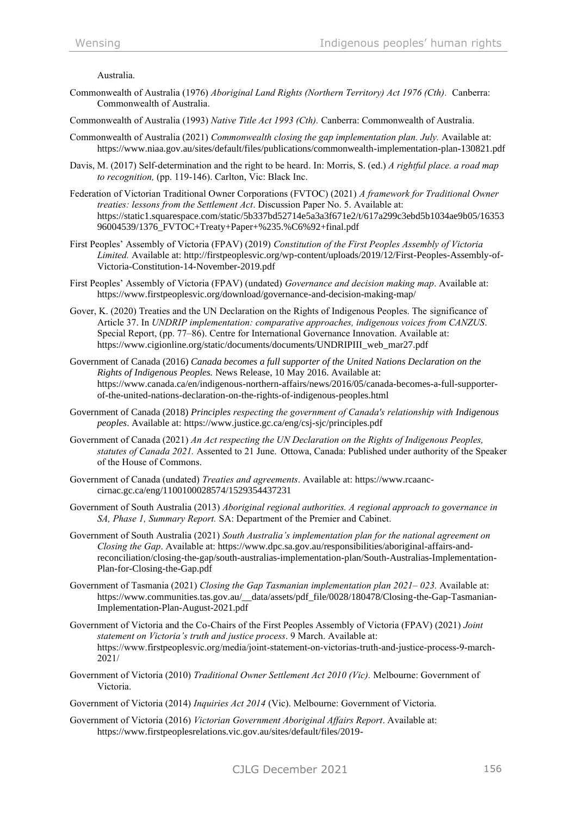Australia.

- Commonwealth of Australia (1976) *Aboriginal Land Rights (Northern Territory) Act 1976 (Cth).* Canberra: Commonwealth of Australia.
- Commonwealth of Australia (1993) *Native Title Act 1993 (Cth).* Canberra: Commonwealth of Australia.
- Commonwealth of Australia (2021) *Commonwealth closing the gap implementation plan. July.* Available at: <https://www.niaa.gov.au/sites/default/files/publications/commonwealth-implementation-plan-130821.pdf>
- Davis, M. (2017) Self-determination and the right to be heard. In: Morris, S. (ed.) *A rightful place. a road map to recognition,* (pp. 119-146). Carlton, Vic: Black Inc.
- Federation of Victorian Traditional Owner Corporations (FVTOC) (2021) *A framework for Traditional Owner treaties: lessons from the Settlement Act*. Discussion Paper No. 5. Available at: [https://static1.squarespace.com/static/5b337bd52714e5a3a3f671e2/t/617a299c3ebd5b1034ae9b05/16353](https://static1.squarespace.com/static/5b337bd52714e5a3a3f671e2/t/617a299c3ebd5b1034ae9b05/1635396004539/1376_FVTOC+Treaty+Paper+%235.%C6%92+final.pdf) [96004539/1376\\_FVTOC+Treaty+Paper+%235.%C6%92+final.pdf](https://static1.squarespace.com/static/5b337bd52714e5a3a3f671e2/t/617a299c3ebd5b1034ae9b05/1635396004539/1376_FVTOC+Treaty+Paper+%235.%C6%92+final.pdf)
- First Peoples' Assembly of Victoria (FPAV) (2019) *Constitution of the First Peoples Assembly of Victoria Limited.* Available at: [http://firstpeoplesvic.org/wp-content/uploads/2019/12/First-Peoples-Assembly-of-](http://firstpeoplesvic.org/wp-content/uploads/2019/12/First-Peoples-Assembly-of-Victoria-Constitution-14-November-2019.pdf)[Victoria-Constitution-14-November-2019.pdf](http://firstpeoplesvic.org/wp-content/uploads/2019/12/First-Peoples-Assembly-of-Victoria-Constitution-14-November-2019.pdf)
- First Peoples' Assembly of Victoria (FPAV) (undated) *Governance and decision making map*. Available at: <https://www.firstpeoplesvic.org/download/governance-and-decision-making-map/>
- Gover, K. (2020) Treaties and the UN Declaration on the Rights of Indigenous Peoples. The significance of Article 37. In *UNDRIP implementation: comparative approaches, indigenous voices from CANZUS*. Special Report, (pp. 77–86). Centre for International Governance Innovation. Available at: [https://www.cigionline.org/static/documents/documents/UNDRIPIII\\_web\\_mar27.pdf](https://www.cigionline.org/static/documents/documents/UNDRIPIII_web_mar27.pdf)
- Government of Canada (2016) *Canada becomes a full supporter of the United Nations Declaration on the Rights of Indigenous Peoples.* News Release, 10 May 2016. Available at: [https://www.canada.ca/en/indigenous-northern-affairs/news/2016/05/canada-becomes-a-full-supporter](https://www.canada.ca/en/indigenous-northern-affairs/news/2016/05/canada-becomes-a-full-supporter-of-the-united-nations-declaration-on-the-rights-of-indigenous-peoples.html)[of-the-united-nations-declaration-on-the-rights-of-indigenous-peoples.html](https://www.canada.ca/en/indigenous-northern-affairs/news/2016/05/canada-becomes-a-full-supporter-of-the-united-nations-declaration-on-the-rights-of-indigenous-peoples.html)
- Government of Canada (2018) *Principles respecting the government of Canada's relationship with Indigenous peoples*. Available at: https://www.justice.gc.ca/eng/csj-sjc/principles.pdf
- Government of Canada (2021) *An Act respecting the UN Declaration on the Rights of Indigenous Peoples, statutes of Canada 2021.* Assented to 21 June. Ottowa, Canada: Published under authority of the Speaker of the House of Commons.
- Government of Canada (undated) *Treaties and agreements*. Available at: [https://www.rcaanc](https://www.rcaanc-cirnac.gc.ca/eng/1100100028574/1529354437231)[cirnac.gc.ca/eng/1100100028574/1529354437231](https://www.rcaanc-cirnac.gc.ca/eng/1100100028574/1529354437231)
- Government of South Australia (2013) *Aboriginal regional authorities. A regional approach to governance in SA, Phase 1, Summary Report.* SA: Department of the Premier and Cabinet.
- Government of South Australia (2021) *South Australia's implementation plan for the national agreement on Closing the Gap*. Available at: [https://www.dpc.sa.gov.au/responsibilities/aboriginal-affairs-and](https://www.dpc.sa.gov.au/responsibilities/aboriginal-affairs-and-reconciliation/closing-the-gap/south-australias-implementation-plan/South-Australias-Implementation-Plan-for-Closing-the-Gap.pdf)[reconciliation/closing-the-gap/south-australias-implementation-plan/South-Australias-Implementation-](https://www.dpc.sa.gov.au/responsibilities/aboriginal-affairs-and-reconciliation/closing-the-gap/south-australias-implementation-plan/South-Australias-Implementation-Plan-for-Closing-the-Gap.pdf)[Plan-for-Closing-the-Gap.pdf](https://www.dpc.sa.gov.au/responsibilities/aboriginal-affairs-and-reconciliation/closing-the-gap/south-australias-implementation-plan/South-Australias-Implementation-Plan-for-Closing-the-Gap.pdf)
- Government of Tasmania (2021) *Closing the Gap Tasmanian implementation plan 2021– 023.* Available at: [https://www.communities.tas.gov.au/\\_\\_data/assets/pdf\\_file/0028/180478/Closing-the-Gap-Tasmanian-](https://www.communities.tas.gov.au/__data/assets/pdf_file/0028/180478/Closing-the-Gap-Tasmanian-Implementation-Plan-August-2021.pdf)[Implementation-Plan-August-2021.pdf](https://www.communities.tas.gov.au/__data/assets/pdf_file/0028/180478/Closing-the-Gap-Tasmanian-Implementation-Plan-August-2021.pdf)
- Government of Victoria and the Co-Chairs of the First Peoples Assembly of Victoria (FPAV) (2021) *Joint statement on Victoria's truth and justice process*. 9 March. Available at: https://www.firstpeoplesvic.org/media/joint-statement-on-victorias-truth-and-justice-process-9-march-2021/
- Government of Victoria (2010) *Traditional Owner Settlement Act 2010 (Vic).* Melbourne: Government of Victoria.
- Government of Victoria (2014) *Inquiries Act 2014* (Vic). Melbourne: Government of Victoria.
- Government of Victoria (2016) *Victorian Government Aboriginal Affairs Report*. Available at: [https://www.firstpeoplesrelations.vic.gov.au/sites/default/files/2019-](https://www.firstpeoplesrelations.vic.gov.au/sites/default/files/2019-09/Victorian_Government_Aboriginal_Affairs_Report_2016.pdf)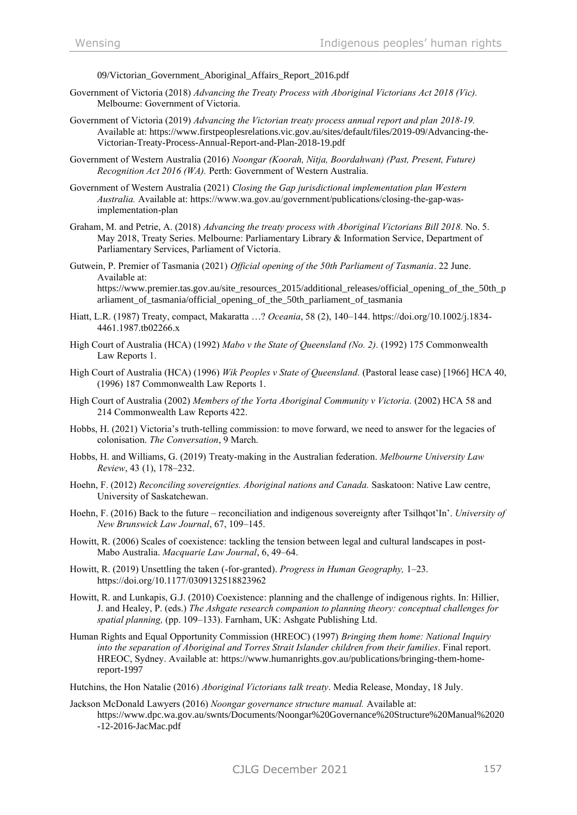[09/Victorian\\_Government\\_Aboriginal\\_Affairs\\_Report\\_2016.pdf](https://www.firstpeoplesrelations.vic.gov.au/sites/default/files/2019-09/Victorian_Government_Aboriginal_Affairs_Report_2016.pdf)

- Government of Victoria (2018) *Advancing the Treaty Process with Aboriginal Victorians Act 2018 (Vic).* Melbourne: Government of Victoria.
- Government of Victoria (2019) *Advancing the Victorian treaty process annual report and plan 2018-19.* Available at: [https://www.firstpeoplesrelations.vic.gov.au/sites/default/files/2019-09/Advancing-the-](https://www.firstpeoplesrelations.vic.gov.au/sites/default/files/2019-09/Advancing-the-Victorian-Treaty-Process-Annual-Report-and-Plan-2018-19.pdf)[Victorian-Treaty-Process-Annual-Report-and-Plan-2018-19.pdf](https://www.firstpeoplesrelations.vic.gov.au/sites/default/files/2019-09/Advancing-the-Victorian-Treaty-Process-Annual-Report-and-Plan-2018-19.pdf)
- Government of Western Australia (2016) *Noongar (Koorah, Nitja, Boordahwan) (Past, Present, Future) Recognition Act 2016 (WA).* Perth: Government of Western Australia.
- Government of Western Australia (2021) *Closing the Gap jurisdictional implementation plan Western Australia.* Available at: https://www.wa.gov.au/government/publications/closing-the-gap-wasimplementation-plan
- Graham, M. and Petrie, A. (2018) *Advancing the treaty process with Aboriginal Victorians Bill 2018.* No. 5. May 2018, Treaty Series. Melbourne: Parliamentary Library & Information Service, Department of Parliamentary Services, Parliament of Victoria.
- Gutwein, P. Premier of Tasmania (2021) *Official opening of the 50th Parliament of Tasmania*. 22 June. Available at: [https://www.premier.tas.gov.au/site\\_resources\\_2015/additional\\_releases/official\\_opening\\_of\\_the\\_50th\\_p](https://www.premier.tas.gov.au/site_resources_2015/additional_releases/official_opening_of_the_50th_parliament_of_tasmania/official_opening_of_the_50th_parliament_of_tasmania) [arliament\\_of\\_tasmania/official\\_opening\\_of\\_the\\_50th\\_parliament\\_of\\_tasmania](https://www.premier.tas.gov.au/site_resources_2015/additional_releases/official_opening_of_the_50th_parliament_of_tasmania/official_opening_of_the_50th_parliament_of_tasmania)
- Hiatt, L.R. (1987) Treaty, compact, Makaratta …? *Oceania*, 58 (2), 140–144. https://doi.org/10.1002/j.1834- 4461.1987.tb02266.x
- High Court of Australia (HCA) (1992) *Mabo v the State of Queensland (No. 2).* (1992) 175 Commonwealth Law Reports 1.
- High Court of Australia (HCA) (1996) *Wik Peoples v State of Queensland.* (Pastoral lease case) [1966] HCA 40, (1996) 187 Commonwealth Law Reports 1.
- High Court of Australia (2002) *Members of the Yorta Aboriginal Community v Victoria.* (2002) HCA 58 and 214 Commonwealth Law Reports 422.
- Hobbs, H. (2021) Victoria's truth-telling commission: to move forward, we need to answer for the legacies of colonisation. *The Conversation*, 9 March.
- Hobbs, H. and Williams, G. (2019) Treaty-making in the Australian federation. *Melbourne University Law Review*, 43 (1), 178–232.
- Hoehn, F. (2012) *Reconciling sovereignties. Aboriginal nations and Canada.* Saskatoon: Native Law centre, University of Saskatchewan.
- Hoehn, F. (2016) Back to the future reconciliation and indigenous sovereignty after Tsilhqot'In'. *University of New Brunswick Law Journal*, 67, 109–145.
- Howitt, R. (2006) Scales of coexistence: tackling the tension between legal and cultural landscapes in post-Mabo Australia. *Macquarie Law Journal*, 6, 49–64.
- Howitt, R. (2019) Unsettling the taken (-for-granted). *Progress in Human Geography,* 1–23. https://doi.org/10.1177/0309132518823962
- Howitt, R. and Lunkapis, G.J. (2010) Coexistence: planning and the challenge of indigenous rights. In: Hillier, J. and Healey, P. (eds.) *The Ashgate research companion to planning theory: conceptual challenges for spatial planning,* (pp. 109–133). Farnham, UK: Ashgate Publishing Ltd.
- Human Rights and Equal Opportunity Commission (HREOC) (1997) *Bringing them home: National Inquiry into the separation of Aboriginal and Torres Strait Islander children from their families*. Final report. HREOC, Sydney. Available at: [https://www.humanrights.gov.au/publications/bringing-them-home](https://www.humanrights.gov.au/publications/bringing-them-home-report-1997)[report-1997](https://www.humanrights.gov.au/publications/bringing-them-home-report-1997)

Hutchins, the Hon Natalie (2016) *Aboriginal Victorians talk treaty*. Media Release, Monday, 18 July.

Jackson McDonald Lawyers (2016) *Noongar governance structure manual.* Available at: [https://www.dpc.wa.gov.au/swnts/Documents/Noongar%20Governance%20Structure%20Manual%2020](https://www.dpc.wa.gov.au/swnts/Documents/Noongar%20Governance%20Structure%20Manual%2020-12-2016-JacMac.pdf) [-12-2016-JacMac.pdf](https://www.dpc.wa.gov.au/swnts/Documents/Noongar%20Governance%20Structure%20Manual%2020-12-2016-JacMac.pdf)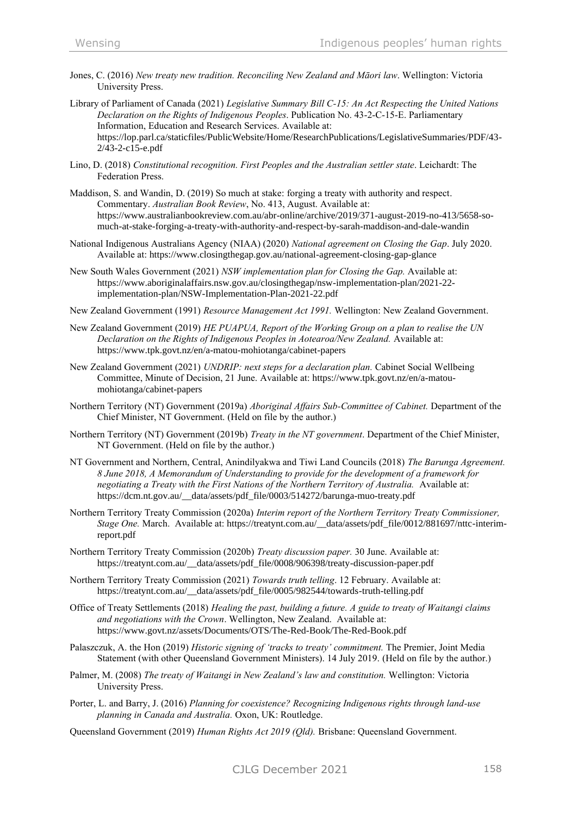- Jones, C. (2016) *New treaty new tradition. Reconciling New Zealand and Māori law*. Wellington: Victoria University Press.
- Library of Parliament of Canada (2021) *Legislative Summary Bill C-15: An Act Respecting the United Nations Declaration on the Rights of Indigenous Peoples*. Publication No. 43-2-C-15-E. Parliamentary Information, Education and Research Services. Available at: [https://lop.parl.ca/staticfiles/PublicWebsite/Home/ResearchPublications/LegislativeSummaries/PDF/43-](https://lop.parl.ca/staticfiles/PublicWebsite/Home/ResearchPublications/LegislativeSummaries/PDF/43-2/43-2-c15-e.pdf) [2/43-2-c15-e.pdf](https://lop.parl.ca/staticfiles/PublicWebsite/Home/ResearchPublications/LegislativeSummaries/PDF/43-2/43-2-c15-e.pdf)
- Lino, D. (2018) *Constitutional recognition. First Peoples and the Australian settler state*. Leichardt: The Federation Press.
- Maddison, S. and Wandin, D. (2019) So much at stake: forging a treaty with authority and respect. Commentary. *Australian Book Review*, No. 413, August. Available at: [https://www.australianbookreview.com.au/abr-online/archive/2019/371-august-2019-no-413/5658-so](https://www.australianbookreview.com.au/abr-online/archive/2019/371-august-2019-no-413/5658-so-much-at-stake-forging-a-treaty-with-authority-and-respect-by-sarah-maddison-and-dale-wandin)[much-at-stake-forging-a-treaty-with-authority-and-respect-by-sarah-maddison-and-dale-wandin](https://www.australianbookreview.com.au/abr-online/archive/2019/371-august-2019-no-413/5658-so-much-at-stake-forging-a-treaty-with-authority-and-respect-by-sarah-maddison-and-dale-wandin)
- National Indigenous Australians Agency (NIAA) (2020) *National agreement on Closing the Gap*. July 2020. Available at: <https://www.closingthegap.gov.au/national-agreement-closing-gap-glance>
- New South Wales Government (2021) *NSW implementation plan for Closing the Gap.* Available at: [https://www.aboriginalaffairs.nsw.gov.au/closingthegap/nsw-implementation-plan/2021-22](https://www.aboriginalaffairs.nsw.gov.au/closingthegap/nsw-implementation-plan/2021-22-implementation-plan/NSW-Implementation-Plan-2021-22.pdf) [implementation-plan/NSW-Implementation-Plan-2021-22.pdf](https://www.aboriginalaffairs.nsw.gov.au/closingthegap/nsw-implementation-plan/2021-22-implementation-plan/NSW-Implementation-Plan-2021-22.pdf)
- New Zealand Government (1991) *Resource Management Act 1991.* Wellington: New Zealand Government.
- New Zealand Government (2019) *HE PUAPUA, Report of the Working Group on a plan to realise the UN Declaration on the Rights of Indigenous Peoples in Aotearoa/New Zealand.* Available at: <https://www.tpk.govt.nz/en/a-matou-mohiotanga/cabinet-papers>
- New Zealand Government (2021) *UNDRIP: next steps for a declaration plan.* Cabinet Social Wellbeing Committee, Minute of Decision, 21 June. Available at: [https://www.tpk.govt.nz/en/a-matou](https://www.tpk.govt.nz/en/a-matou-mohiotanga/cabinet-papers)[mohiotanga/cabinet-papers](https://www.tpk.govt.nz/en/a-matou-mohiotanga/cabinet-papers)
- Northern Territory (NT) Government (2019a) *Aboriginal Affairs Sub-Committee of Cabinet.* Department of the Chief Minister, NT Government. (Held on file by the author.)
- Northern Territory (NT) Government (2019b) *Treaty in the NT government*. Department of the Chief Minister, NT Government. (Held on file by the author.)
- NT Government and Northern, Central, Anindilyakwa and Tiwi Land Councils (2018) *The Barunga Agreement. 8 June 2018, A Memorandum of Understanding to provide for the development of a framework for negotiating a Treaty with the First Nations of the Northern Territory of Australia.* Available at: [https://dcm.nt.gov.au/\\_\\_data/assets/pdf\\_file/0003/514272/barunga-muo-treaty.pdf](https://dcm.nt.gov.au/__data/assets/pdf_file/0003/514272/barunga-muo-treaty.pdf)
- Northern Territory Treaty Commission (2020a) *Interim report of the Northern Territory Treaty Commissioner, Stage One.* March. Available at: [https://treatynt.com.au/\\_\\_data/assets/pdf\\_file/0012/881697/nttc-interim](https://treatynt.com.au/__data/assets/pdf_file/0012/881697/nttc-interim-report.pdf)[report.pdf](https://treatynt.com.au/__data/assets/pdf_file/0012/881697/nttc-interim-report.pdf)
- Northern Territory Treaty Commission (2020b) *Treaty discussion paper.* 30 June. Available at: [https://treatynt.com.au/\\_\\_data/assets/pdf\\_file/0008/906398/treaty-discussion-paper.pdf](https://treatynt.com.au/__data/assets/pdf_file/0008/906398/treaty-discussion-paper.pdf)
- Northern Territory Treaty Commission (2021) *Towards truth telling*. 12 February. Available at: [https://treatynt.com.au/\\_\\_data/assets/pdf\\_file/0005/982544/towards-truth-telling.pdf](https://treatynt.com.au/__data/assets/pdf_file/0005/982544/towards-truth-telling.pdf)
- Office of Treaty Settlements (2018) *Healing the past, building a future. A guide to treaty of Waitangi claims and negotiations with the Crown*. Wellington, New Zealand. Available at: <https://www.govt.nz/assets/Documents/OTS/The-Red-Book/The-Red-Book.pdf>
- Palaszczuk, A. the Hon (2019) *Historic signing of 'tracks to treaty' commitment.* The Premier, Joint Media Statement (with other Queensland Government Ministers). 14 July 2019. (Held on file by the author.)
- Palmer, M. (2008) *The treaty of Waitangi in New Zealand's law and constitution.* Wellington: Victoria University Press.
- Porter, L. and Barry, J. (2016) *Planning for coexistence? Recognizing Indigenous rights through land-use planning in Canada and Australia.* Oxon, UK: Routledge.
- Queensland Government (2019) *Human Rights Act 2019 (Qld).* Brisbane: Queensland Government.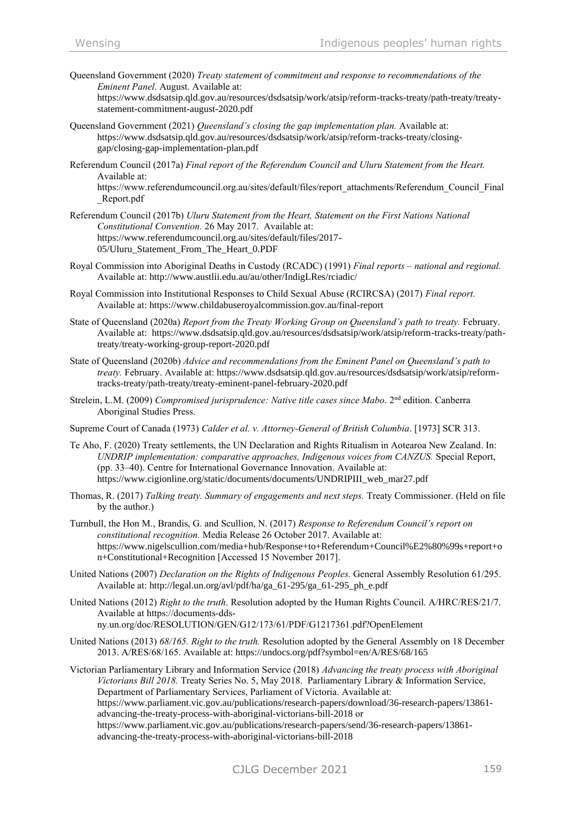Queensland Government (2020) *Treaty statement of commitment and response to recommendations of the Eminent Panel.* August. Available at:

[https://www.dsdsatsip.qld.gov.au/resources/dsdsatsip/work/atsip/reform-tracks-treaty/path-treaty/treaty](https://www.dsdsatsip.qld.gov.au/resources/dsdsatsip/work/atsip/reform-tracks-treaty/path-treaty/treaty-statement-commitment-august-2020.pdf)[statement-commitment-august-2020.pdf](https://www.dsdsatsip.qld.gov.au/resources/dsdsatsip/work/atsip/reform-tracks-treaty/path-treaty/treaty-statement-commitment-august-2020.pdf)

- Queensland Government (2021) *Queensland's closing the gap implementation plan.* Available at: [https://www.dsdsatsip.qld.gov.au/resources/dsdsatsip/work/atsip/reform-tracks-treaty/closing](https://www.dsdsatsip.qld.gov.au/resources/dsdsatsip/work/atsip/reform-tracks-treaty/closing-gap/closing-gap-implementation-plan.pdf)[gap/closing-gap-implementation-plan.pdf](https://www.dsdsatsip.qld.gov.au/resources/dsdsatsip/work/atsip/reform-tracks-treaty/closing-gap/closing-gap-implementation-plan.pdf)
- Referendum Council (2017a) *Final report of the Referendum Council and Uluru Statement from the Heart.* Available at:

https://www.referendumcouncil.org.au/sites/default/files/report\_attachments/Referendum\_Council\_Final \_Report.pdf

- Referendum Council (2017b) *Uluru Statement from the Heart, Statement on the First Nations National Constitutional Convention.* 26 May 2017. Available at: [https://www.referendumcouncil.org.au/sites/default/files/2017-](https://www.referendumcouncil.org.au/sites/default/files/2017-05/Uluru_Statement_From_The_Heart_0.PDF) [05/Uluru\\_Statement\\_From\\_The\\_Heart\\_0.PDF](https://www.referendumcouncil.org.au/sites/default/files/2017-05/Uluru_Statement_From_The_Heart_0.PDF)
- Royal Commission into Aboriginal Deaths in Custody (RCADC) (1991) *Final reports – national and regional.*  Available at: <http://www.austlii.edu.au/au/other/IndigLRes/rciadic/>
- Royal Commission into Institutional Responses to Child Sexual Abuse (RCIRCSA) (2017) *Final report.*  Available at: <https://www.childabuseroyalcommission.gov.au/final-report>
- State of Queensland (2020a) *Report from the Treaty Working Group on Queensland's path to treaty.* February. Available at: [https://www.dsdsatsip.qld.gov.au/resources/dsdsatsip/work/atsip/reform-tracks-treaty/path](https://www.dsdsatsip.qld.gov.au/resources/dsdsatsip/work/atsip/reform-tracks-treaty/path-treaty/treaty-working-group-report-2020.pdf)[treaty/treaty-working-group-report-2020.pdf](https://www.dsdsatsip.qld.gov.au/resources/dsdsatsip/work/atsip/reform-tracks-treaty/path-treaty/treaty-working-group-report-2020.pdf)
- State of Queensland (2020b) *Advice and recommendations from the Eminent Panel on Queensland's path to treaty.* February. Available at: [https://www.dsdsatsip.qld.gov.au/resources/dsdsatsip/work/atsip/reform](https://www.dsdsatsip.qld.gov.au/resources/dsdsatsip/work/atsip/reform-tracks-treaty/path-treaty/treaty-eminent-panel-february-2020.pdf)[tracks-treaty/path-treaty/treaty-eminent-panel-february-2020.pdf](https://www.dsdsatsip.qld.gov.au/resources/dsdsatsip/work/atsip/reform-tracks-treaty/path-treaty/treaty-eminent-panel-february-2020.pdf)
- Strelein, L.M. (2009) Compromised jurisprudence: Native title cases since Mabo. 2<sup>nd</sup> edition. Canberra Aboriginal Studies Press.
- Supreme Court of Canada (1973) *Calder et al. v. Attorney-General of British Columbia*. [1973] SCR 313.
- Te Aho, F. (2020) Treaty settlements, the UN Declaration and Rights Ritualism in Aotearoa New Zealand. In: *UNDRIP implementation: comparative approaches, Indigenous voices from CANZUS.* Special Report, (pp. 33–40). Centre for International Governance Innovation. Available at: [https://www.cigionline.org/static/documents/documents/UNDRIPIII\\_web\\_mar27.pdf](https://www.cigionline.org/static/documents/documents/UNDRIPIII_web_mar27.pdf)
- Thomas, R. (2017) *Talking treaty. Summary of engagements and next steps.* Treaty Commissioner. (Held on file by the author.)
- Turnbull, the Hon M., Brandis, G. and Scullion, N. (2017) *Response to Referendum Council's report on constitutional recognition.* Media Release 26 October 2017. Available at: [https://www.nigelscullion.com/media+hub/Response+to+Referendum+Council%E2%80%99s+report+o](https://www.nigelscullion.com/media+hub/Response+to+Referendum+Council%E2%80%99s+report+on+Constitutional+Recognition) [n+Constitutional+Recognition](https://www.nigelscullion.com/media+hub/Response+to+Referendum+Council%E2%80%99s+report+on+Constitutional+Recognition) [Accessed 15 November 2017].
- United Nations (2007) *Declaration on the Rights of Indigenous Peoples.* General Assembly Resolution 61/295. Available at: [http://legal.un.org/avl/pdf/ha/ga\\_61-295/ga\\_61-295\\_ph\\_e.pdf](http://legal.un.org/avl/pdf/ha/ga_61-295/ga_61-295_ph_e.pdf)
- United Nations (2012) *Right to the truth*. Resolution adopted by the Human Rights Council. A/HRC/RES/21/7. Available at https://documents-ddsny.un.org/doc/RESOLUTION/GEN/G12/173/61/PDF/G1217361.pdf?OpenElement
- United Nations (2013) *68/165. Right to the truth.* Resolution adopted by the General Assembly on 18 December 2013. A/RES/68/165. Available at: https://undocs.org/pdf?symbol=en/A/RES/68/165
- Victorian Parliamentary Library and Information Service (2018) *Advancing the treaty process with Aboriginal Victorians Bill 2018.* Treaty Series No. 5, May 2018. Parliamentary Library & Information Service, Department of Parliamentary Services, Parliament of Victoria. Available at: [https://www.parliament.vic.gov.au/publications/research-papers/download/36-research-papers/13861](https://www.parliament.vic.gov.au/publications/research-papers/download/36-research-papers/13861-advancing-the-treaty-process-with-aboriginal-victorians-bill-2018) [advancing-the-treaty-process-with-aboriginal-victorians-bill-2018](https://www.parliament.vic.gov.au/publications/research-papers/download/36-research-papers/13861-advancing-the-treaty-process-with-aboriginal-victorians-bill-2018) or [https://www.parliament.vic.gov.au/publications/research-papers/send/36-research-papers/13861](https://www.parliament.vic.gov.au/publications/research-papers/send/36-research-papers/13861-advancing-the-treaty-process-with-aboriginal-victorians-bill-2018) [advancing-the-treaty-process-with-aboriginal-victorians-bill-2018](https://www.parliament.vic.gov.au/publications/research-papers/send/36-research-papers/13861-advancing-the-treaty-process-with-aboriginal-victorians-bill-2018)